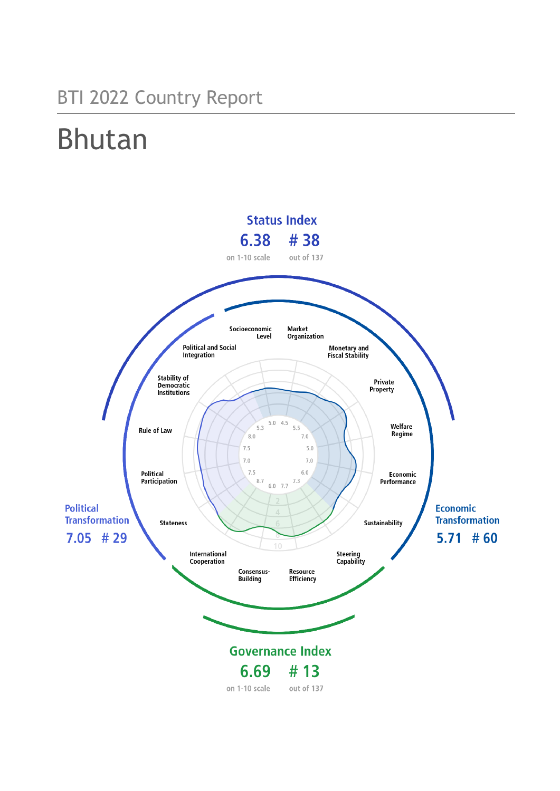## BTI 2022 Country Report

# Bhutan

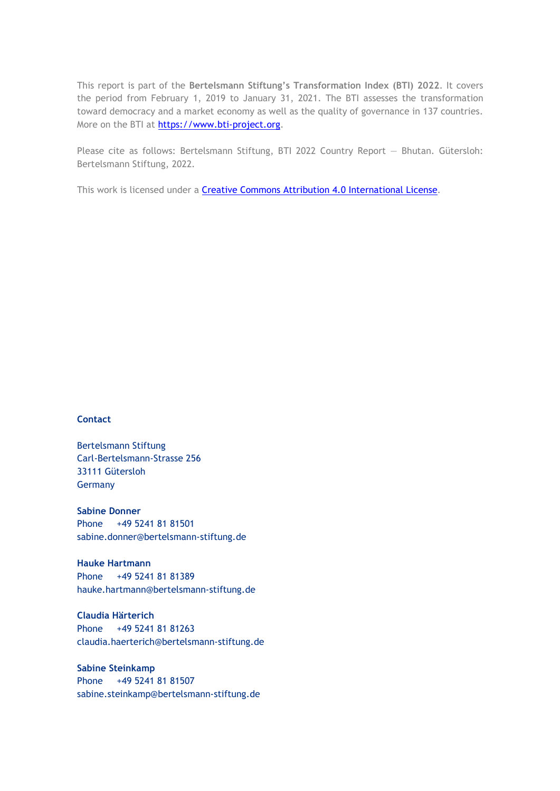This report is part of the **Bertelsmann Stiftung's Transformation Index (BTI) 2022**. It covers the period from February 1, 2019 to January 31, 2021. The BTI assesses the transformation toward democracy and a market economy as well as the quality of governance in 137 countries. More on the BTI at [https://www.bti-project.org.](https://www.bti-project.org/)

Please cite as follows: Bertelsmann Stiftung, BTI 2022 Country Report — Bhutan. Gütersloh: Bertelsmann Stiftung, 2022.

This work is licensed under a **Creative Commons Attribution 4.0 International License**.

#### **Contact**

Bertelsmann Stiftung Carl-Bertelsmann-Strasse 256 33111 Gütersloh Germany

**Sabine Donner** Phone +49 5241 81 81501 sabine.donner@bertelsmann-stiftung.de

**Hauke Hartmann** Phone +49 5241 81 81389 hauke.hartmann@bertelsmann-stiftung.de

**Claudia Härterich** Phone +49 5241 81 81263 claudia.haerterich@bertelsmann-stiftung.de

#### **Sabine Steinkamp** Phone +49 5241 81 81507 sabine.steinkamp@bertelsmann-stiftung.de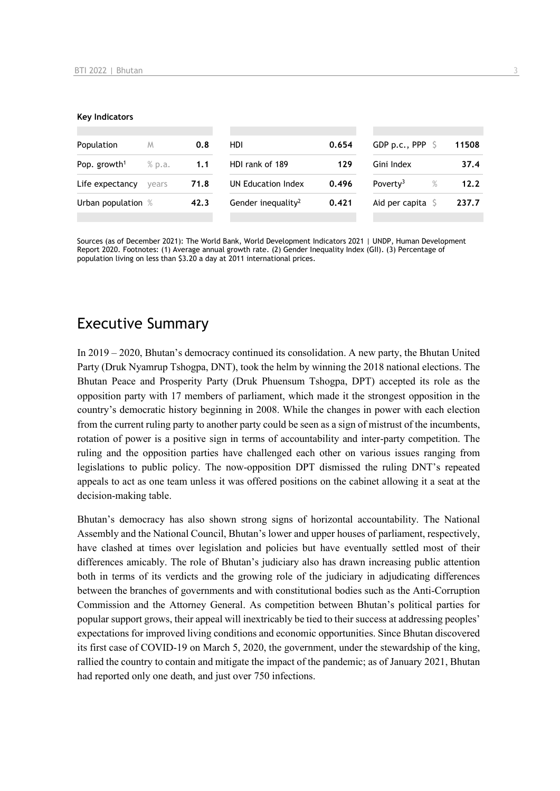#### **Key Indicators**

| Population               | M      | 0.8  | HDI                            | 0.654 | GDP p.c., PPP $\ S$       | 11508 |
|--------------------------|--------|------|--------------------------------|-------|---------------------------|-------|
| Pop. growth <sup>1</sup> | % p.a. | 1.1  | HDI rank of 189                | 129   | Gini Index                | 37.4  |
| Life expectancy          | vears  | 71.8 | UN Education Index             | 0.496 | Poverty <sup>3</sup><br>% | 12.2  |
| Urban population %       |        | 42.3 | Gender inequality <sup>2</sup> | 0.421 | Aid per capita            | 237.7 |
|                          |        |      |                                |       |                           |       |

Sources (as of December 2021): The World Bank, World Development Indicators 2021 | UNDP, Human Development Report 2020. Footnotes: (1) Average annual growth rate. (2) Gender Inequality Index (GII). (3) Percentage of population living on less than \$3.20 a day at 2011 international prices.

## Executive Summary

In 2019 – 2020, Bhutan's democracy continued its consolidation. A new party, the Bhutan United Party (Druk Nyamrup Tshogpa, DNT), took the helm by winning the 2018 national elections. The Bhutan Peace and Prosperity Party (Druk Phuensum Tshogpa, DPT) accepted its role as the opposition party with 17 members of parliament, which made it the strongest opposition in the country's democratic history beginning in 2008. While the changes in power with each election from the current ruling party to another party could be seen as a sign of mistrust of the incumbents, rotation of power is a positive sign in terms of accountability and inter-party competition. The ruling and the opposition parties have challenged each other on various issues ranging from legislations to public policy. The now-opposition DPT dismissed the ruling DNT's repeated appeals to act as one team unless it was offered positions on the cabinet allowing it a seat at the decision-making table.

Bhutan's democracy has also shown strong signs of horizontal accountability. The National Assembly and the National Council, Bhutan's lower and upper houses of parliament, respectively, have clashed at times over legislation and policies but have eventually settled most of their differences amicably. The role of Bhutan's judiciary also has drawn increasing public attention both in terms of its verdicts and the growing role of the judiciary in adjudicating differences between the branches of governments and with constitutional bodies such as the Anti-Corruption Commission and the Attorney General. As competition between Bhutan's political parties for popular support grows, their appeal will inextricably be tied to their success at addressing peoples' expectations for improved living conditions and economic opportunities. Since Bhutan discovered its first case of COVID-19 on March 5, 2020, the government, under the stewardship of the king, rallied the country to contain and mitigate the impact of the pandemic; as of January 2021, Bhutan had reported only one death, and just over 750 infections.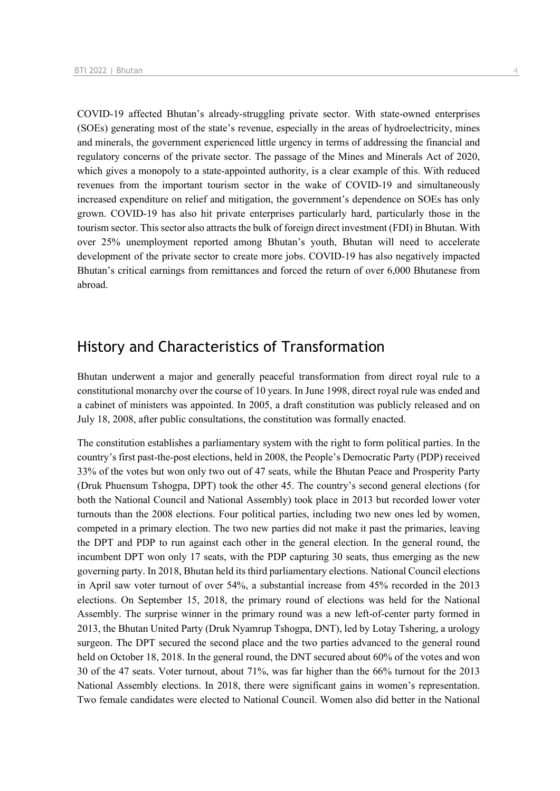COVID-19 affected Bhutan's already-struggling private sector. With state-owned enterprises (SOEs) generating most of the state's revenue, especially in the areas of hydroelectricity, mines and minerals, the government experienced little urgency in terms of addressing the financial and regulatory concerns of the private sector. The passage of the Mines and Minerals Act of 2020, which gives a monopoly to a state-appointed authority, is a clear example of this. With reduced revenues from the important tourism sector in the wake of COVID-19 and simultaneously increased expenditure on relief and mitigation, the government's dependence on SOEs has only grown. COVID-19 has also hit private enterprises particularly hard, particularly those in the tourism sector. This sector also attracts the bulk of foreign direct investment (FDI) in Bhutan. With over 25% unemployment reported among Bhutan's youth, Bhutan will need to accelerate development of the private sector to create more jobs. COVID-19 has also negatively impacted Bhutan's critical earnings from remittances and forced the return of over 6,000 Bhutanese from abroad.

## History and Characteristics of Transformation

Bhutan underwent a major and generally peaceful transformation from direct royal rule to a constitutional monarchy over the course of 10 years. In June 1998, direct royal rule was ended and a cabinet of ministers was appointed. In 2005, a draft constitution was publicly released and on July 18, 2008, after public consultations, the constitution was formally enacted.

The constitution establishes a parliamentary system with the right to form political parties. In the country's first past-the-post elections, held in 2008, the People's Democratic Party (PDP) received 33% of the votes but won only two out of 47 seats, while the Bhutan Peace and Prosperity Party (Druk Phuensum Tshogpa, DPT) took the other 45. The country's second general elections (for both the National Council and National Assembly) took place in 2013 but recorded lower voter turnouts than the 2008 elections. Four political parties, including two new ones led by women, competed in a primary election. The two new parties did not make it past the primaries, leaving the DPT and PDP to run against each other in the general election. In the general round, the incumbent DPT won only 17 seats, with the PDP capturing 30 seats, thus emerging as the new governing party. In 2018, Bhutan held its third parliamentary elections. National Council elections in April saw voter turnout of over 54%, a substantial increase from 45% recorded in the 2013 elections. On September 15, 2018, the primary round of elections was held for the National Assembly. The surprise winner in the primary round was a new left-of-center party formed in 2013, the Bhutan United Party (Druk Nyamrup Tshogpa, DNT), led by Lotay Tshering, a urology surgeon. The DPT secured the second place and the two parties advanced to the general round held on October 18, 2018. In the general round, the DNT secured about 60% of the votes and won 30 of the 47 seats. Voter turnout, about 71%, was far higher than the 66% turnout for the 2013 National Assembly elections. In 2018, there were significant gains in women's representation. Two female candidates were elected to National Council. Women also did better in the National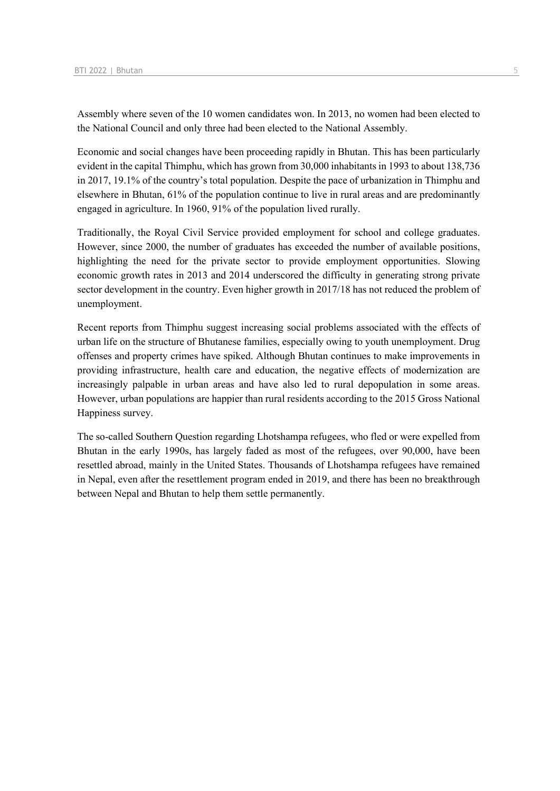Assembly where seven of the 10 women candidates won. In 2013, no women had been elected to the National Council and only three had been elected to the National Assembly.

Economic and social changes have been proceeding rapidly in Bhutan. This has been particularly evident in the capital Thimphu, which has grown from 30,000 inhabitants in 1993 to about 138,736 in 2017, 19.1% of the country's total population. Despite the pace of urbanization in Thimphu and elsewhere in Bhutan, 61% of the population continue to live in rural areas and are predominantly engaged in agriculture. In 1960, 91% of the population lived rurally.

Traditionally, the Royal Civil Service provided employment for school and college graduates. However, since 2000, the number of graduates has exceeded the number of available positions, highlighting the need for the private sector to provide employment opportunities. Slowing economic growth rates in 2013 and 2014 underscored the difficulty in generating strong private sector development in the country. Even higher growth in 2017/18 has not reduced the problem of unemployment.

Recent reports from Thimphu suggest increasing social problems associated with the effects of urban life on the structure of Bhutanese families, especially owing to youth unemployment. Drug offenses and property crimes have spiked. Although Bhutan continues to make improvements in providing infrastructure, health care and education, the negative effects of modernization are increasingly palpable in urban areas and have also led to rural depopulation in some areas. However, urban populations are happier than rural residents according to the 2015 Gross National Happiness survey.

The so-called Southern Question regarding Lhotshampa refugees, who fled or were expelled from Bhutan in the early 1990s, has largely faded as most of the refugees, over 90,000, have been resettled abroad, mainly in the United States. Thousands of Lhotshampa refugees have remained in Nepal, even after the resettlement program ended in 2019, and there has been no breakthrough between Nepal and Bhutan to help them settle permanently.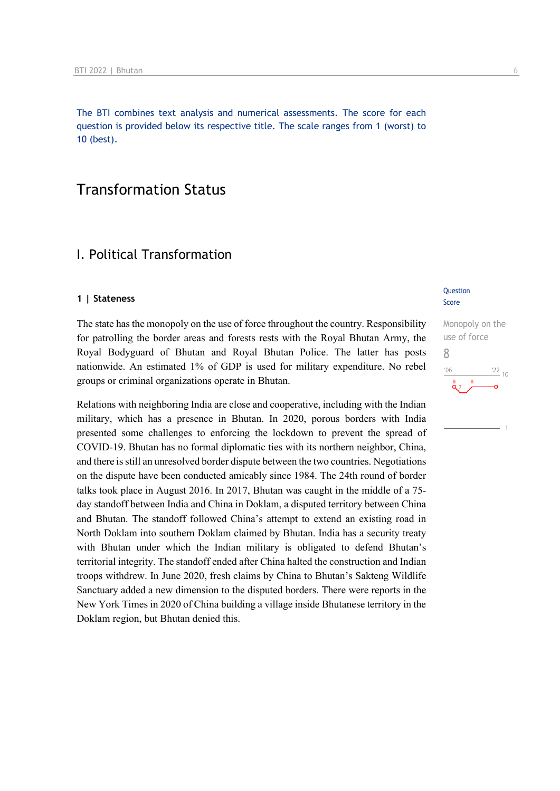The BTI combines text analysis and numerical assessments. The score for each question is provided below its respective title. The scale ranges from 1 (worst) to 10 (best).

## Transformation Status

## I. Political Transformation

#### **1 | Stateness**

The state has the monopoly on the use of force throughout the country. Responsibility for patrolling the border areas and forests rests with the Royal Bhutan Army, the Royal Bodyguard of Bhutan and Royal Bhutan Police. The latter has posts nationwide. An estimated 1% of GDP is used for military expenditure. No rebel groups or criminal organizations operate in Bhutan.

Relations with neighboring India are close and cooperative, including with the Indian military, which has a presence in Bhutan. In 2020, porous borders with India presented some challenges to enforcing the lockdown to prevent the spread of COVID-19. Bhutan has no formal diplomatic ties with its northern neighbor, China, and there is still an unresolved border dispute between the two countries. Negotiations on the dispute have been conducted amicably since 1984. The 24th round of border talks took place in August 2016. In 2017, Bhutan was caught in the middle of a 75 day standoff between India and China in Doklam, a disputed territory between China and Bhutan. The standoff followed China's attempt to extend an existing road in North Doklam into southern Doklam claimed by Bhutan. India has a security treaty with Bhutan under which the Indian military is obligated to defend Bhutan's territorial integrity. The standoff ended after China halted the construction and Indian troops withdrew. In June 2020, fresh claims by China to Bhutan's Sakteng Wildlife Sanctuary added a new dimension to the disputed borders. There were reports in the New York Times in 2020 of China building a village inside Bhutanese territory in the Doklam region, but Bhutan denied this.

#### **Question** Score

Monopoly on the use of force 8 $\frac{22}{10}$  $n<sub>f</sub>$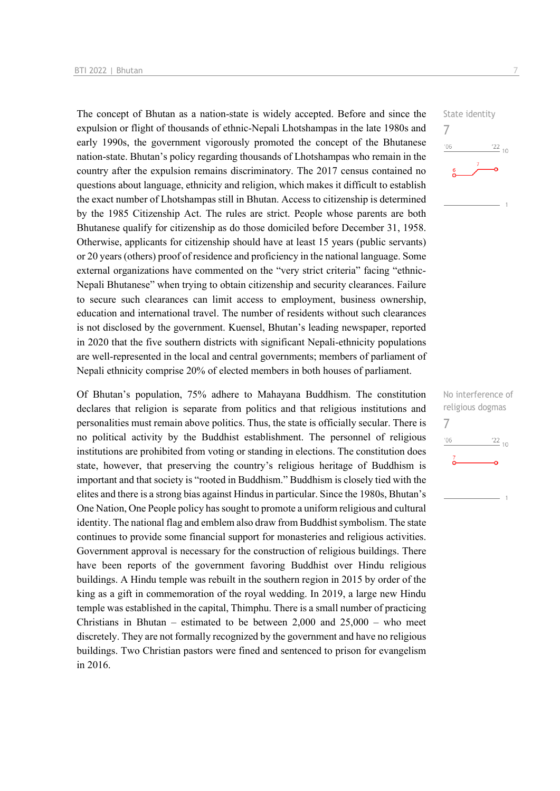The concept of Bhutan as a nation-state is widely accepted. Before and since the expulsion or flight of thousands of ethnic-Nepali Lhotshampas in the late 1980s and early 1990s, the government vigorously promoted the concept of the Bhutanese nation-state. Bhutan's policy regarding thousands of Lhotshampas who remain in the country after the expulsion remains discriminatory. The 2017 census contained no questions about language, ethnicity and religion, which makes it difficult to establish the exact number of Lhotshampas still in Bhutan. Access to citizenship is determined by the 1985 Citizenship Act. The rules are strict. People whose parents are both Bhutanese qualify for citizenship as do those domiciled before December 31, 1958. Otherwise, applicants for citizenship should have at least 15 years (public servants) or 20 years (others) proof of residence and proficiency in the national language. Some external organizations have commented on the "very strict criteria" facing "ethnic-Nepali Bhutanese" when trying to obtain citizenship and security clearances. Failure to secure such clearances can limit access to employment, business ownership, education and international travel. The number of residents without such clearances is not disclosed by the government. Kuensel, Bhutan's leading newspaper, reported in 2020 that the five southern districts with significant Nepali-ethnicity populations are well-represented in the local and central governments; members of parliament of Nepali ethnicity comprise 20% of elected members in both houses of parliament.

Of Bhutan's population, 75% adhere to Mahayana Buddhism. The constitution declares that religion is separate from politics and that religious institutions and personalities must remain above politics. Thus, the state is officially secular. There is no political activity by the Buddhist establishment. The personnel of religious institutions are prohibited from voting or standing in elections. The constitution does state, however, that preserving the country's religious heritage of Buddhism is important and that society is "rooted in Buddhism." Buddhism is closely tied with the elites and there is a strong bias against Hindus in particular. Since the 1980s, Bhutan's One Nation, One People policy has sought to promote a uniform religious and cultural identity. The national flag and emblem also draw from Buddhist symbolism. The state continues to provide some financial support for monasteries and religious activities. Government approval is necessary for the construction of religious buildings. There have been reports of the government favoring Buddhist over Hindu religious buildings. A Hindu temple was rebuilt in the southern region in 2015 by order of the king as a gift in commemoration of the royal wedding. In 2019, a large new Hindu temple was established in the capital, Thimphu. There is a small number of practicing Christians in Bhutan – estimated to be between  $2,000$  and  $25,000$  – who meet discretely. They are not formally recognized by the government and have no religious buildings. Two Christian pastors were fined and sentenced to prison for evangelism in 2016.



No interference of religious dogmas 7 $\frac{22}{10}$  $106$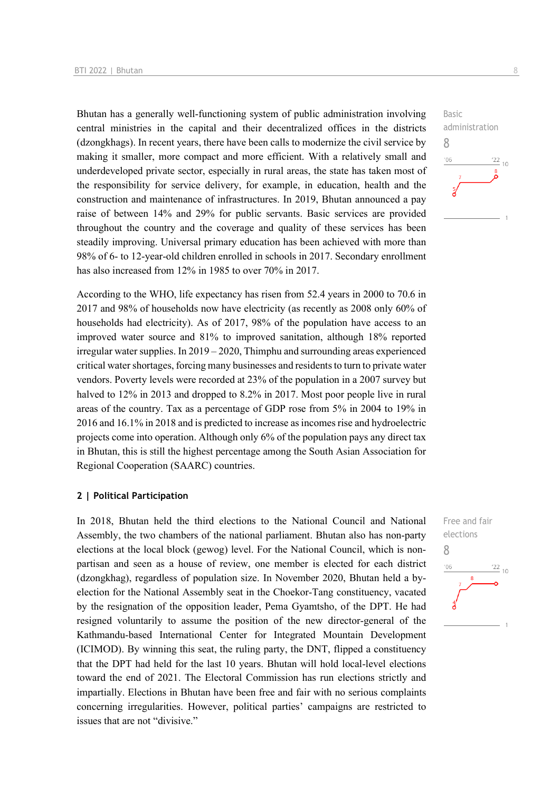Bhutan has a generally well-functioning system of public administration involving central ministries in the capital and their decentralized offices in the districts (dzongkhags). In recent years, there have been calls to modernize the civil service by making it smaller, more compact and more efficient. With a relatively small and underdeveloped private sector, especially in rural areas, the state has taken most of the responsibility for service delivery, for example, in education, health and the construction and maintenance of infrastructures. In 2019, Bhutan announced a pay raise of between 14% and 29% for public servants. Basic services are provided throughout the country and the coverage and quality of these services has been steadily improving. Universal primary education has been achieved with more than 98% of 6- to 12-year-old children enrolled in schools in 2017. Secondary enrollment has also increased from 12% in 1985 to over 70% in 2017.

According to the WHO, life expectancy has risen from 52.4 years in 2000 to 70.6 in 2017 and 98% of households now have electricity (as recently as 2008 only 60% of households had electricity). As of 2017, 98% of the population have access to an improved water source and 81% to improved sanitation, although 18% reported irregular water supplies. In 2019 – 2020, Thimphu and surrounding areas experienced critical water shortages, forcing many businesses and residents to turn to private water vendors. Poverty levels were recorded at 23% of the population in a 2007 survey but halved to  $12\%$  in 2013 and dropped to 8.2% in 2017. Most poor people live in rural areas of the country. Tax as a percentage of GDP rose from 5% in 2004 to 19% in 2016 and 16.1% in 2018 and is predicted to increase as incomes rise and hydroelectric projects come into operation. Although only 6% of the population pays any direct tax in Bhutan, this is still the highest percentage among the South Asian Association for Regional Cooperation (SAARC) countries.

#### **2 | Political Participation**

In 2018, Bhutan held the third elections to the National Council and National Assembly, the two chambers of the national parliament. Bhutan also has non-party elections at the local block (gewog) level. For the National Council, which is nonpartisan and seen as a house of review, one member is elected for each district (dzongkhag), regardless of population size. In November 2020, Bhutan held a byelection for the National Assembly seat in the Choekor-Tang constituency, vacated by the resignation of the opposition leader, Pema Gyamtsho, of the DPT. He had resigned voluntarily to assume the position of the new director-general of the Kathmandu-based International Center for Integrated Mountain Development (ICIMOD). By winning this seat, the ruling party, the DNT, flipped a constituency that the DPT had held for the last 10 years. Bhutan will hold local-level elections toward the end of 2021. The Electoral Commission has run elections strictly and impartially. Elections in Bhutan have been free and fair with no serious complaints concerning irregularities. However, political parties' campaigns are restricted to issues that are not "divisive."



Free and fair elections 8 $\frac{22}{10}$  $^{\prime}06$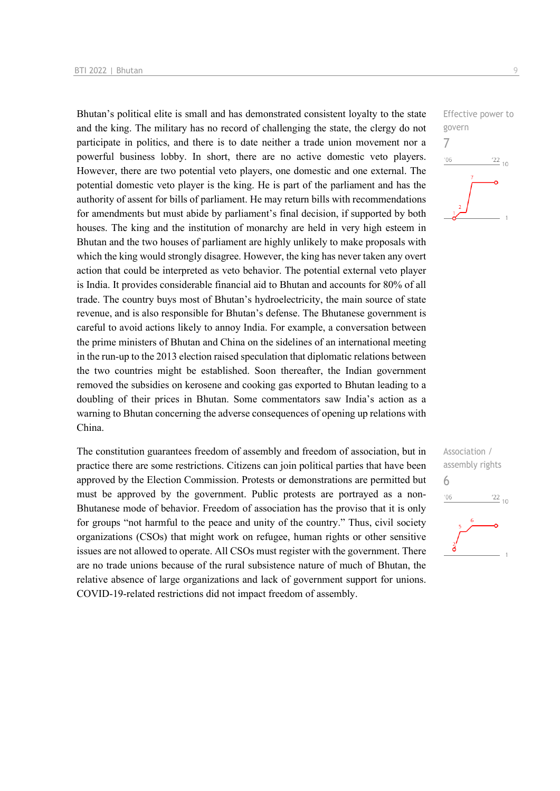Bhutan's political elite is small and has demonstrated consistent loyalty to the state and the king. The military has no record of challenging the state, the clergy do not participate in politics, and there is to date neither a trade union movement nor a powerful business lobby. In short, there are no active domestic veto players. However, there are two potential veto players, one domestic and one external. The potential domestic veto player is the king. He is part of the parliament and has the authority of assent for bills of parliament. He may return bills with recommendations for amendments but must abide by parliament's final decision, if supported by both houses. The king and the institution of monarchy are held in very high esteem in Bhutan and the two houses of parliament are highly unlikely to make proposals with which the king would strongly disagree. However, the king has never taken any overt action that could be interpreted as veto behavior. The potential external veto player is India. It provides considerable financial aid to Bhutan and accounts for 80% of all trade. The country buys most of Bhutan's hydroelectricity, the main source of state revenue, and is also responsible for Bhutan's defense. The Bhutanese government is careful to avoid actions likely to annoy India. For example, a conversation between the prime ministers of Bhutan and China on the sidelines of an international meeting in the run-up to the 2013 election raised speculation that diplomatic relations between the two countries might be established. Soon thereafter, the Indian government removed the subsidies on kerosene and cooking gas exported to Bhutan leading to a doubling of their prices in Bhutan. Some commentators saw India's action as a warning to Bhutan concerning the adverse consequences of opening up relations with China.

The constitution guarantees freedom of assembly and freedom of association, but in practice there are some restrictions. Citizens can join political parties that have been approved by the Election Commission. Protests or demonstrations are permitted but must be approved by the government. Public protests are portrayed as a non-Bhutanese mode of behavior. Freedom of association has the proviso that it is only for groups "not harmful to the peace and unity of the country." Thus, civil society organizations (CSOs) that might work on refugee, human rights or other sensitive issues are not allowed to operate. All CSOs must register with the government. There are no trade unions because of the rural subsistence nature of much of Bhutan, the relative absence of large organizations and lack of government support for unions. COVID-19-related restrictions did not impact freedom of assembly.



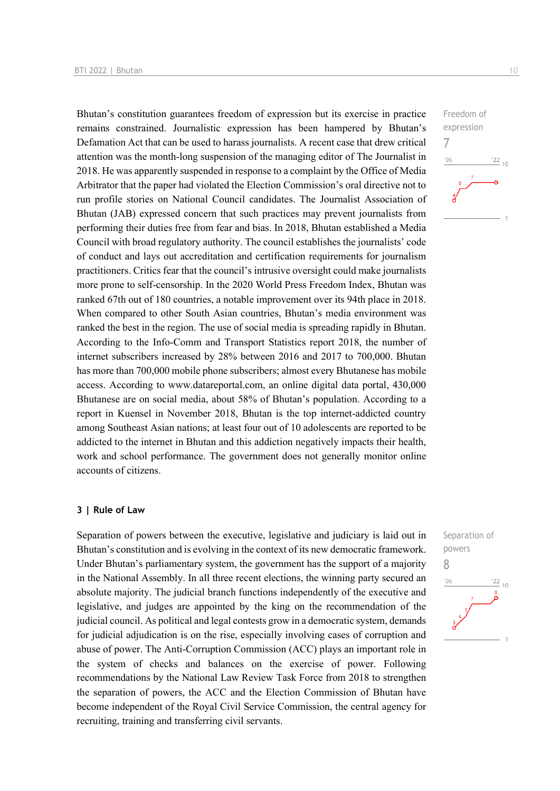Bhutan's constitution guarantees freedom of expression but its exercise in practice remains constrained. Journalistic expression has been hampered by Bhutan's Defamation Act that can be used to harass journalists. A recent case that drew critical attention was the month-long suspension of the managing editor of The Journalist in 2018. He was apparently suspended in response to a complaint by the Office of Media Arbitrator that the paper had violated the Election Commission's oral directive not to run profile stories on National Council candidates. The Journalist Association of Bhutan (JAB) expressed concern that such practices may prevent journalists from performing their duties free from fear and bias. In 2018, Bhutan established a Media Council with broad regulatory authority. The council establishes the journalists' code of conduct and lays out accreditation and certification requirements for journalism practitioners. Critics fear that the council's intrusive oversight could make journalists more prone to self-censorship. In the 2020 World Press Freedom Index, Bhutan was ranked 67th out of 180 countries, a notable improvement over its 94th place in 2018. When compared to other South Asian countries, Bhutan's media environment was ranked the best in the region. The use of social media is spreading rapidly in Bhutan. According to the Info-Comm and Transport Statistics report 2018, the number of internet subscribers increased by 28% between 2016 and 2017 to 700,000. Bhutan has more than 700,000 mobile phone subscribers; almost every Bhutanese has mobile access. According to www.datareportal.com, an online digital data portal, 430,000 Bhutanese are on social media, about 58% of Bhutan's population. According to a report in Kuensel in November 2018, Bhutan is the top internet-addicted country among Southeast Asian nations; at least four out of 10 adolescents are reported to be addicted to the internet in Bhutan and this addiction negatively impacts their health, work and school performance. The government does not generally monitor online accounts of citizens.

#### **3 | Rule of Law**

Separation of powers between the executive, legislative and judiciary is laid out in Bhutan's constitution and is evolving in the context of its new democratic framework. Under Bhutan's parliamentary system, the government has the support of a majority in the National Assembly. In all three recent elections, the winning party secured an absolute majority. The judicial branch functions independently of the executive and legislative, and judges are appointed by the king on the recommendation of the judicial council. As political and legal contests grow in a democratic system, demands for judicial adjudication is on the rise, especially involving cases of corruption and abuse of power. The Anti-Corruption Commission (ACC) plays an important role in the system of checks and balances on the exercise of power. Following recommendations by the National Law Review Task Force from 2018 to strengthen the separation of powers, the ACC and the Election Commission of Bhutan have become independent of the Royal Civil Service Commission, the central agency for recruiting, training and transferring civil servants.



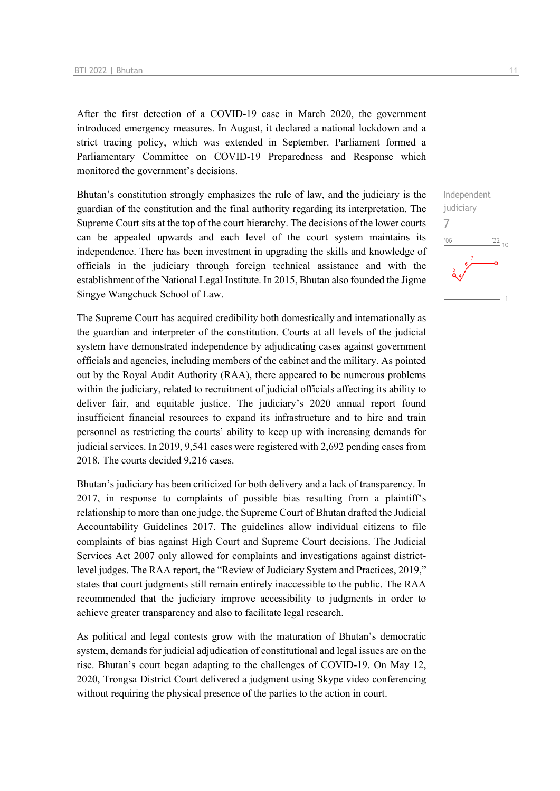After the first detection of a COVID-19 case in March 2020, the government introduced emergency measures. In August, it declared a national lockdown and a strict tracing policy, which was extended in September. Parliament formed a Parliamentary Committee on COVID-19 Preparedness and Response which monitored the government's decisions.

Bhutan's constitution strongly emphasizes the rule of law, and the judiciary is the guardian of the constitution and the final authority regarding its interpretation. The Supreme Court sits at the top of the court hierarchy. The decisions of the lower courts can be appealed upwards and each level of the court system maintains its independence. There has been investment in upgrading the skills and knowledge of officials in the judiciary through foreign technical assistance and with the establishment of the National Legal Institute. In 2015, Bhutan also founded the Jigme Singye Wangchuck School of Law.

The Supreme Court has acquired credibility both domestically and internationally as the guardian and interpreter of the constitution. Courts at all levels of the judicial system have demonstrated independence by adjudicating cases against government officials and agencies, including members of the cabinet and the military. As pointed out by the Royal Audit Authority (RAA), there appeared to be numerous problems within the judiciary, related to recruitment of judicial officials affecting its ability to deliver fair, and equitable justice. The judiciary's 2020 annual report found insufficient financial resources to expand its infrastructure and to hire and train personnel as restricting the courts' ability to keep up with increasing demands for judicial services. In 2019, 9,541 cases were registered with 2,692 pending cases from 2018. The courts decided 9,216 cases.

Bhutan's judiciary has been criticized for both delivery and a lack of transparency. In 2017, in response to complaints of possible bias resulting from a plaintiff's relationship to more than one judge, the Supreme Court of Bhutan drafted the Judicial Accountability Guidelines 2017. The guidelines allow individual citizens to file complaints of bias against High Court and Supreme Court decisions. The Judicial Services Act 2007 only allowed for complaints and investigations against districtlevel judges. The RAA report, the "Review of Judiciary System and Practices, 2019," states that court judgments still remain entirely inaccessible to the public. The RAA recommended that the judiciary improve accessibility to judgments in order to achieve greater transparency and also to facilitate legal research.

As political and legal contests grow with the maturation of Bhutan's democratic system, demands for judicial adjudication of constitutional and legal issues are on the rise. Bhutan's court began adapting to the challenges of COVID-19. On May 12, 2020, Trongsa District Court delivered a judgment using Skype video conferencing without requiring the physical presence of the parties to the action in court.

Independent judiciary 7 $\frac{22}{10}$ '06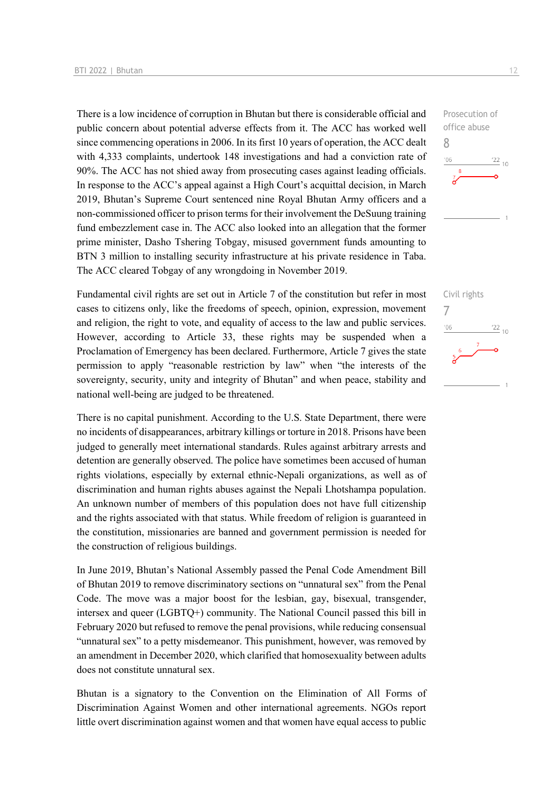There is a low incidence of corruption in Bhutan but there is considerable official and public concern about potential adverse effects from it. The ACC has worked well since commencing operations in 2006. In its first 10 years of operation, the ACC dealt with 4,333 complaints, undertook 148 investigations and had a conviction rate of 90%. The ACC has not shied away from prosecuting cases against leading officials. In response to the ACC's appeal against a High Court's acquittal decision, in March 2019, Bhutan's Supreme Court sentenced nine Royal Bhutan Army officers and a non-commissioned officer to prison terms for their involvement the DeSuung training fund embezzlement case in. The ACC also looked into an allegation that the former prime minister, Dasho Tshering Tobgay, misused government funds amounting to BTN 3 million to installing security infrastructure at his private residence in Taba. The ACC cleared Tobgay of any wrongdoing in November 2019.

Fundamental civil rights are set out in Article 7 of the constitution but refer in most cases to citizens only, like the freedoms of speech, opinion, expression, movement and religion, the right to vote, and equality of access to the law and public services. However, according to Article 33, these rights may be suspended when a Proclamation of Emergency has been declared. Furthermore, Article 7 gives the state permission to apply "reasonable restriction by law" when "the interests of the sovereignty, security, unity and integrity of Bhutan" and when peace, stability and national well-being are judged to be threatened.

There is no capital punishment. According to the U.S. State Department, there were no incidents of disappearances, arbitrary killings or torture in 2018. Prisons have been judged to generally meet international standards. Rules against arbitrary arrests and detention are generally observed. The police have sometimes been accused of human rights violations, especially by external ethnic-Nepali organizations, as well as of discrimination and human rights abuses against the Nepali Lhotshampa population. An unknown number of members of this population does not have full citizenship and the rights associated with that status. While freedom of religion is guaranteed in the constitution, missionaries are banned and government permission is needed for the construction of religious buildings.

In June 2019, Bhutan's National Assembly passed the Penal Code Amendment Bill of Bhutan 2019 to remove discriminatory sections on "unnatural sex" from the Penal Code. The move was a major boost for the lesbian, gay, bisexual, transgender, intersex and queer (LGBTQ+) community. The National Council passed this bill in February 2020 but refused to remove the penal provisions, while reducing consensual "unnatural sex" to a petty misdemeanor. This punishment, however, was removed by an amendment in December 2020, which clarified that homosexuality between adults does not constitute unnatural sex.

Bhutan is a signatory to the Convention on the Elimination of All Forms of Discrimination Against Women and other international agreements. NGOs report little overt discrimination against women and that women have equal access to public

Prosecution of office abuse 8  $06'$  $\frac{22}{10}$ 

Civil rights 7 $\frac{22}{10}$  $n<sub>0</sub>$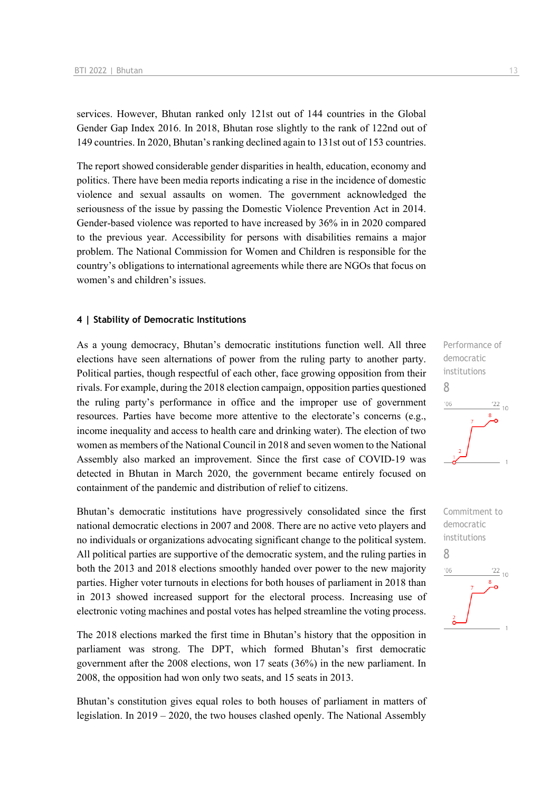services. However, Bhutan ranked only 121st out of 144 countries in the Global Gender Gap Index 2016. In 2018, Bhutan rose slightly to the rank of 122nd out of 149 countries. In 2020, Bhutan's ranking declined again to 131st out of 153 countries.

The report showed considerable gender disparities in health, education, economy and politics. There have been media reports indicating a rise in the incidence of domestic violence and sexual assaults on women. The government acknowledged the seriousness of the issue by passing the Domestic Violence Prevention Act in 2014. Gender-based violence was reported to have increased by 36% in in 2020 compared to the previous year. Accessibility for persons with disabilities remains a major problem. The National Commission for Women and Children is responsible for the country's obligations to international agreements while there are NGOs that focus on women's and children's issues.

#### **4 | Stability of Democratic Institutions**

As a young democracy, Bhutan's democratic institutions function well. All three elections have seen alternations of power from the ruling party to another party. Political parties, though respectful of each other, face growing opposition from their rivals. For example, during the 2018 election campaign, opposition parties questioned the ruling party's performance in office and the improper use of government resources. Parties have become more attentive to the electorate's concerns (e.g., income inequality and access to health care and drinking water). The election of two women as members of the National Council in 2018 and seven women to the National Assembly also marked an improvement. Since the first case of COVID-19 was detected in Bhutan in March 2020, the government became entirely focused on containment of the pandemic and distribution of relief to citizens.

Bhutan's democratic institutions have progressively consolidated since the first national democratic elections in 2007 and 2008. There are no active veto players and no individuals or organizations advocating significant change to the political system. All political parties are supportive of the democratic system, and the ruling parties in both the 2013 and 2018 elections smoothly handed over power to the new majority parties. Higher voter turnouts in elections for both houses of parliament in 2018 than in 2013 showed increased support for the electoral process. Increasing use of electronic voting machines and postal votes has helped streamline the voting process.

The 2018 elections marked the first time in Bhutan's history that the opposition in parliament was strong. The DPT, which formed Bhutan's first democratic government after the 2008 elections, won 17 seats (36%) in the new parliament. In 2008, the opposition had won only two seats, and 15 seats in 2013.

Bhutan's constitution gives equal roles to both houses of parliament in matters of legislation. In 2019 – 2020, the two houses clashed openly. The National Assembly



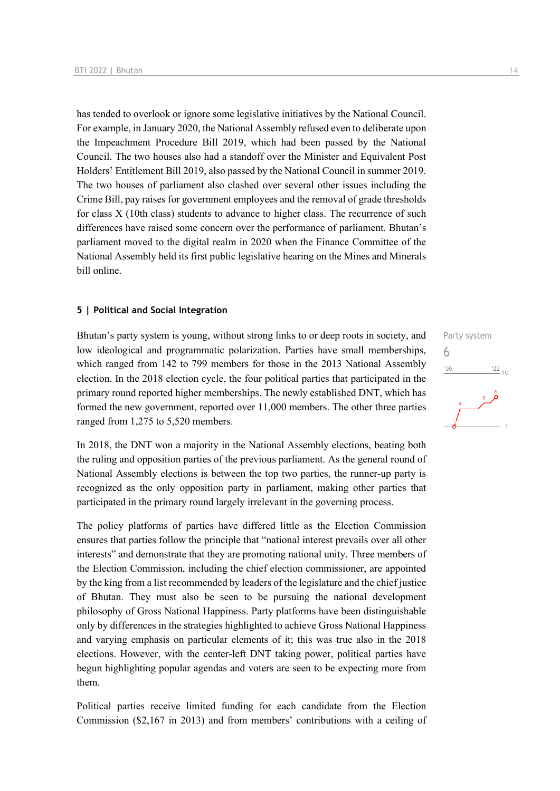has tended to overlook or ignore some legislative initiatives by the National Council. For example, in January 2020, the National Assembly refused even to deliberate upon the Impeachment Procedure Bill 2019, which had been passed by the National Council. The two houses also had a standoff over the Minister and Equivalent Post Holders' Entitlement Bill 2019, also passed by the National Council in summer 2019. The two houses of parliament also clashed over several other issues including the Crime Bill, pay raises for government employees and the removal of grade thresholds for class X (10th class) students to advance to higher class. The recurrence of such differences have raised some concern over the performance of parliament. Bhutan's parliament moved to the digital realm in 2020 when the Finance Committee of the National Assembly held its first public legislative hearing on the Mines and Minerals bill online.

#### **5 | Political and Social Integration**

Bhutan's party system is young, without strong links to or deep roots in society, and low ideological and programmatic polarization. Parties have small memberships, which ranged from 142 to 799 members for those in the 2013 National Assembly election. In the 2018 election cycle, the four political parties that participated in the primary round reported higher memberships. The newly established DNT, which has formed the new government, reported over 11,000 members. The other three parties ranged from 1,275 to 5,520 members.

In 2018, the DNT won a majority in the National Assembly elections, beating both the ruling and opposition parties of the previous parliament. As the general round of National Assembly elections is between the top two parties, the runner-up party is recognized as the only opposition party in parliament, making other parties that participated in the primary round largely irrelevant in the governing process.

The policy platforms of parties have differed little as the Election Commission ensures that parties follow the principle that "national interest prevails over all other interests" and demonstrate that they are promoting national unity. Three members of the Election Commission, including the chief election commissioner, are appointed by the king from a list recommended by leaders of the legislature and the chief justice of Bhutan. They must also be seen to be pursuing the national development philosophy of Gross National Happiness. Party platforms have been distinguishable only by differences in the strategies highlighted to achieve Gross National Happiness and varying emphasis on particular elements of it; this was true also in the 2018 elections. However, with the center-left DNT taking power, political parties have begun highlighting popular agendas and voters are seen to be expecting more from them.

Political parties receive limited funding for each candidate from the Election Commission (\$2,167 in 2013) and from members' contributions with a ceiling of

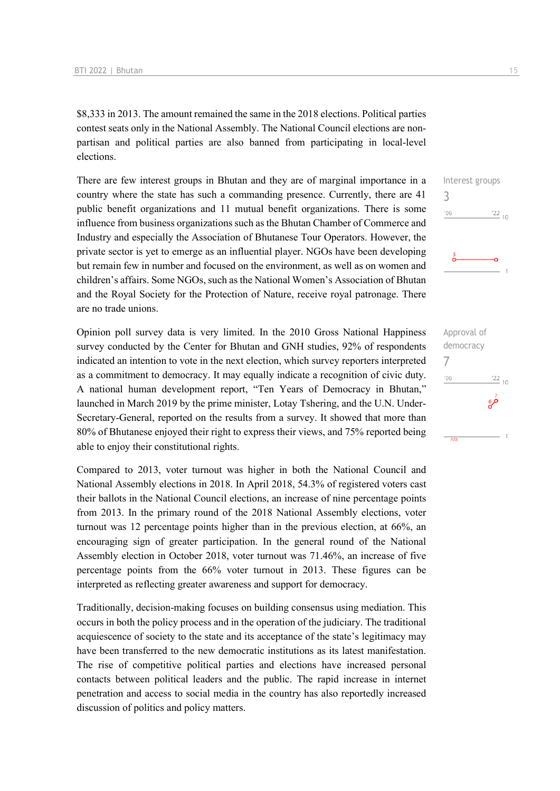\$8,333 in 2013. The amount remained the same in the 2018 elections. Political parties contest seats only in the National Assembly. The National Council elections are nonpartisan and political parties are also banned from participating in local-level elections.

There are few interest groups in Bhutan and they are of marginal importance in a country where the state has such a commanding presence. Currently, there are 41 public benefit organizations and 11 mutual benefit organizations. There is some influence from business organizations such as the Bhutan Chamber of Commerce and Industry and especially the Association of Bhutanese Tour Operators. However, the private sector is yet to emerge as an influential player. NGOs have been developing but remain few in number and focused on the environment, as well as on women and children's affairs. Some NGOs, such as the National Women's Association of Bhutan and the Royal Society for the Protection of Nature, receive royal patronage. There are no trade unions.

Opinion poll survey data is very limited. In the 2010 Gross National Happiness survey conducted by the Center for Bhutan and GNH studies, 92% of respondents indicated an intention to vote in the next election, which survey reporters interpreted as a commitment to democracy. It may equally indicate a recognition of civic duty. A national human development report, "Ten Years of Democracy in Bhutan," launched in March 2019 by the prime minister, Lotay Tshering, and the U.N. Under-Secretary-General, reported on the results from a survey. It showed that more than 80% of Bhutanese enjoyed their right to express their views, and 75% reported being able to enjoy their constitutional rights.

Compared to 2013, voter turnout was higher in both the National Council and National Assembly elections in 2018. In April 2018, 54.3% of registered voters cast their ballots in the National Council elections, an increase of nine percentage points from 2013. In the primary round of the 2018 National Assembly elections, voter turnout was 12 percentage points higher than in the previous election, at 66%, an encouraging sign of greater participation. In the general round of the National Assembly election in October 2018, voter turnout was 71.46%, an increase of five percentage points from the 66% voter turnout in 2013. These figures can be interpreted as reflecting greater awareness and support for democracy.

Traditionally, decision-making focuses on building consensus using mediation. This occurs in both the policy process and in the operation of the judiciary. The traditional acquiescence of society to the state and its acceptance of the state's legitimacy may have been transferred to the new democratic institutions as its latest manifestation. The rise of competitive political parties and elections have increased personal contacts between political leaders and the public. The rapid increase in internet penetration and access to social media in the country has also reportedly increased discussion of politics and policy matters.



Approval of democracy 7 $06'$  $\frac{22}{10}$ فرءِ  $\overline{1}$  $\frac{1}{n/a}$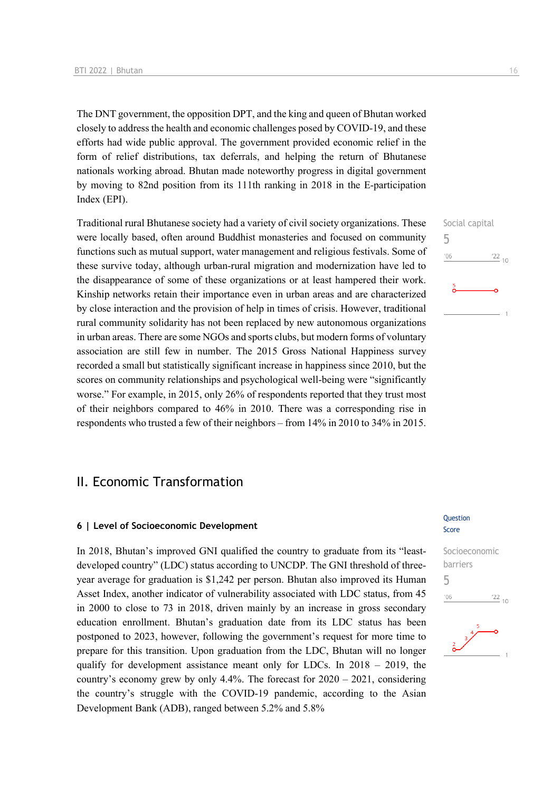The DNT government, the opposition DPT, and the king and queen of Bhutan worked closely to address the health and economic challenges posed by COVID-19, and these efforts had wide public approval. The government provided economic relief in the form of relief distributions, tax deferrals, and helping the return of Bhutanese nationals working abroad. Bhutan made noteworthy progress in digital government by moving to 82nd position from its 111th ranking in 2018 in the E-participation Index (EPI).

Traditional rural Bhutanese society had a variety of civil society organizations. These were locally based, often around Buddhist monasteries and focused on community functions such as mutual support, water management and religious festivals. Some of these survive today, although urban-rural migration and modernization have led to the disappearance of some of these organizations or at least hampered their work. Kinship networks retain their importance even in urban areas and are characterized by close interaction and the provision of help in times of crisis. However, traditional rural community solidarity has not been replaced by new autonomous organizations in urban areas. There are some NGOs and sports clubs, but modern forms of voluntary association are still few in number. The 2015 Gross National Happiness survey recorded a small but statistically significant increase in happiness since 2010, but the scores on community relationships and psychological well-being were "significantly worse." For example, in 2015, only 26% of respondents reported that they trust most of their neighbors compared to 46% in 2010. There was a corresponding rise in respondents who trusted a few of their neighbors – from 14% in 2010 to 34% in 2015.

## II. Economic Transformation

#### **6 | Level of Socioeconomic Development**

In 2018, Bhutan's improved GNI qualified the country to graduate from its "leastdeveloped country" (LDC) status according to UNCDP. The GNI threshold of threeyear average for graduation is \$1,242 per person. Bhutan also improved its Human Asset Index, another indicator of vulnerability associated with LDC status, from 45 in 2000 to close to 73 in 2018, driven mainly by an increase in gross secondary education enrollment. Bhutan's graduation date from its LDC status has been postponed to 2023, however, following the government's request for more time to prepare for this transition. Upon graduation from the LDC, Bhutan will no longer qualify for development assistance meant only for LDCs. In 2018 – 2019, the country's economy grew by only 4.4%. The forecast for 2020 – 2021, considering the country's struggle with the COVID-19 pandemic, according to the Asian Development Bank (ADB), ranged between 5.2% and 5.8%

#### **Question** Score





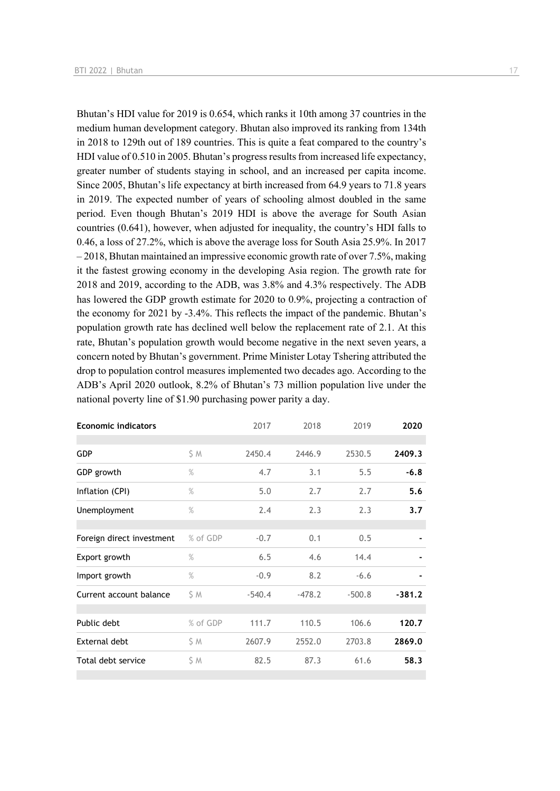Bhutan's HDI value for 2019 is 0.654, which ranks it 10th among 37 countries in the medium human development category. Bhutan also improved its ranking from 134th in 2018 to 129th out of 189 countries. This is quite a feat compared to the country's HDI value of 0.510 in 2005. Bhutan's progress results from increased life expectancy, greater number of students staying in school, and an increased per capita income. Since 2005, Bhutan's life expectancy at birth increased from 64.9 years to 71.8 years in 2019. The expected number of years of schooling almost doubled in the same period. Even though Bhutan's 2019 HDI is above the average for South Asian countries (0.641), however, when adjusted for inequality, the country's HDI falls to 0.46, a loss of 27.2%, which is above the average loss for South Asia 25.9%. In 2017 – 2018, Bhutan maintained an impressive economic growth rate of over 7.5%, making it the fastest growing economy in the developing Asia region. The growth rate for 2018 and 2019, according to the ADB, was 3.8% and 4.3% respectively. The ADB has lowered the GDP growth estimate for 2020 to 0.9%, projecting a contraction of the economy for 2021 by -3.4%. This reflects the impact of the pandemic. Bhutan's population growth rate has declined well below the replacement rate of 2.1. At this rate, Bhutan's population growth would become negative in the next seven years, a concern noted by Bhutan's government. Prime Minister Lotay Tshering attributed the drop to population control measures implemented two decades ago. According to the ADB's April 2020 outlook, 8.2% of Bhutan's 73 million population live under the national poverty line of \$1.90 purchasing power parity a day.

| <b>Economic indicators</b> |          | 2017     | 2018     | 2019     | 2020     |
|----------------------------|----------|----------|----------|----------|----------|
|                            |          |          |          |          |          |
| <b>GDP</b>                 | \$ M     | 2450.4   | 2446.9   | 2530.5   | 2409.3   |
| GDP growth                 | $\%$     | 4.7      | 3.1      | 5.5      | $-6.8$   |
| Inflation (CPI)            | $\%$     | 5.0      | 2.7      | 2.7      | 5.6      |
| Unemployment               | $\%$     | 2.4      | 2.3      | 2.3      | 3.7      |
|                            |          |          |          |          |          |
| Foreign direct investment  | % of GDP | $-0.7$   | 0.1      | 0.5      |          |
| Export growth              | $\%$     | 6.5      | 4.6      | 14.4     |          |
| Import growth              | $\%$     | $-0.9$   | 8.2      | $-6.6$   |          |
| Current account balance    | S M      | $-540.4$ | $-478.2$ | $-500.8$ | $-381.2$ |
|                            |          |          |          |          |          |
| Public debt                | % of GDP | 111.7    | 110.5    | 106.6    | 120.7    |
| External debt              | S M      | 2607.9   | 2552.0   | 2703.8   | 2869.0   |
| Total debt service         | \$M      | 82.5     | 87.3     | 61.6     | 58.3     |
|                            |          |          |          |          |          |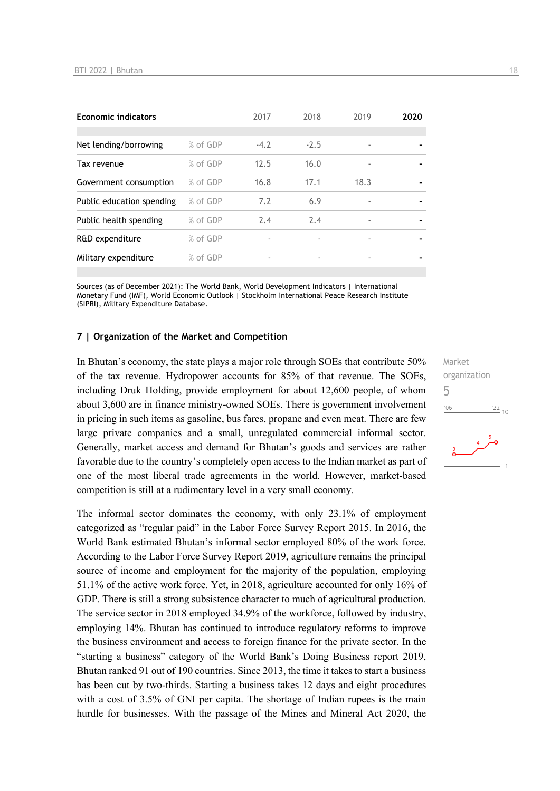| <b>Economic indicators</b> |          | 2017   | 2018   | 2019                     | 2020 |
|----------------------------|----------|--------|--------|--------------------------|------|
| Net lending/borrowing      | % of GDP | $-4.2$ | $-2.5$ |                          |      |
| Tax revenue                | % of GDP | 12.5   | 16.0   | $\overline{\phantom{a}}$ |      |
| Government consumption     | % of GDP | 16.8   | 17.1   | 18.3                     |      |
| Public education spending  | % of GDP | 7.2    | 6.9    |                          |      |
| Public health spending     | % of GDP | 2.4    | 2.4    | $\overline{\phantom{a}}$ |      |
| R&D expenditure            | % of GDP |        |        |                          |      |
| Military expenditure       | % of GDP | ٠      | ٠      | ٠                        |      |

Sources (as of December 2021): The World Bank, World Development Indicators | International Monetary Fund (IMF), World Economic Outlook | Stockholm International Peace Research Institute (SIPRI), Military Expenditure Database.

#### **7 | Organization of the Market and Competition**

In Bhutan's economy, the state plays a major role through SOEs that contribute 50% of the tax revenue. Hydropower accounts for 85% of that revenue. The SOEs, including Druk Holding, provide employment for about 12,600 people, of whom about 3,600 are in finance ministry-owned SOEs. There is government involvement in pricing in such items as gasoline, bus fares, propane and even meat. There are few large private companies and a small, unregulated commercial informal sector. Generally, market access and demand for Bhutan's goods and services are rather favorable due to the country's completely open access to the Indian market as part of one of the most liberal trade agreements in the world. However, market-based competition is still at a rudimentary level in a very small economy.

The informal sector dominates the economy, with only 23.1% of employment categorized as "regular paid" in the Labor Force Survey Report 2015. In 2016, the World Bank estimated Bhutan's informal sector employed 80% of the work force. According to the Labor Force Survey Report 2019, agriculture remains the principal source of income and employment for the majority of the population, employing 51.1% of the active work force. Yet, in 2018, agriculture accounted for only 16% of GDP. There is still a strong subsistence character to much of agricultural production. The service sector in 2018 employed 34.9% of the workforce, followed by industry, employing 14%. Bhutan has continued to introduce regulatory reforms to improve the business environment and access to foreign finance for the private sector. In the "starting a business" category of the World Bank's Doing Business report 2019, Bhutan ranked 91 out of 190 countries. Since 2013, the time it takes to start a business has been cut by two-thirds. Starting a business takes 12 days and eight procedures with a cost of 3.5% of GNI per capita. The shortage of Indian rupees is the main hurdle for businesses. With the passage of the Mines and Mineral Act 2020, the

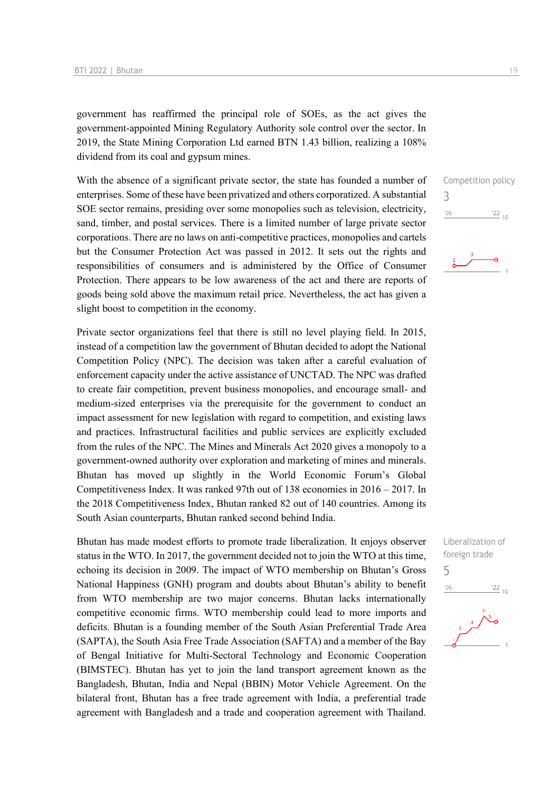government has reaffirmed the principal role of SOEs, as the act gives the government-appointed Mining Regulatory Authority sole control over the sector. In 2019, the State Mining Corporation Ltd earned BTN 1.43 billion, realizing a 108% dividend from its coal and gypsum mines.

With the absence of a significant private sector, the state has founded a number of enterprises. Some of these have been privatized and others corporatized. A substantial SOE sector remains, presiding over some monopolies such as television, electricity, sand, timber, and postal services. There is a limited number of large private sector corporations. There are no laws on anti-competitive practices, monopolies and cartels but the Consumer Protection Act was passed in 2012. It sets out the rights and responsibilities of consumers and is administered by the Office of Consumer Protection. There appears to be low awareness of the act and there are reports of goods being sold above the maximum retail price. Nevertheless, the act has given a slight boost to competition in the economy.

Private sector organizations feel that there is still no level playing field. In 2015, instead of a competition law the government of Bhutan decided to adopt the National Competition Policy (NPC). The decision was taken after a careful evaluation of enforcement capacity under the active assistance of UNCTAD. The NPC was drafted to create fair competition, prevent business monopolies, and encourage small- and medium-sized enterprises via the prerequisite for the government to conduct an impact assessment for new legislation with regard to competition, and existing laws and practices. Infrastructural facilities and public services are explicitly excluded from the rules of the NPC. The Mines and Minerals Act 2020 gives a monopoly to a government-owned authority over exploration and marketing of mines and minerals. Bhutan has moved up slightly in the World Economic Forum's Global Competitiveness Index. It was ranked 97th out of 138 economies in 2016 – 2017. In the 2018 Competitiveness Index, Bhutan ranked 82 out of 140 countries. Among its South Asian counterparts, Bhutan ranked second behind India.

Bhutan has made modest efforts to promote trade liberalization. It enjoys observer status in the WTO. In 2017, the government decided not to join the WTO at this time, echoing its decision in 2009. The impact of WTO membership on Bhutan's Gross National Happiness (GNH) program and doubts about Bhutan's ability to benefit from WTO membership are two major concerns. Bhutan lacks internationally competitive economic firms. WTO membership could lead to more imports and deficits. Bhutan is a founding member of the South Asian Preferential Trade Area (SAPTA), the South Asia Free Trade Association (SAFTA) and a member of the Bay of Bengal Initiative for Multi-Sectoral Technology and Economic Cooperation (BIMSTEC). Bhutan has yet to join the land transport agreement known as the Bangladesh, Bhutan, India and Nepal (BBIN) Motor Vehicle Agreement. On the bilateral front, Bhutan has a free trade agreement with India, a preferential trade agreement with Bangladesh and a trade and cooperation agreement with Thailand.

Competition policy 3  $'06$  $\frac{22}{10}$ 

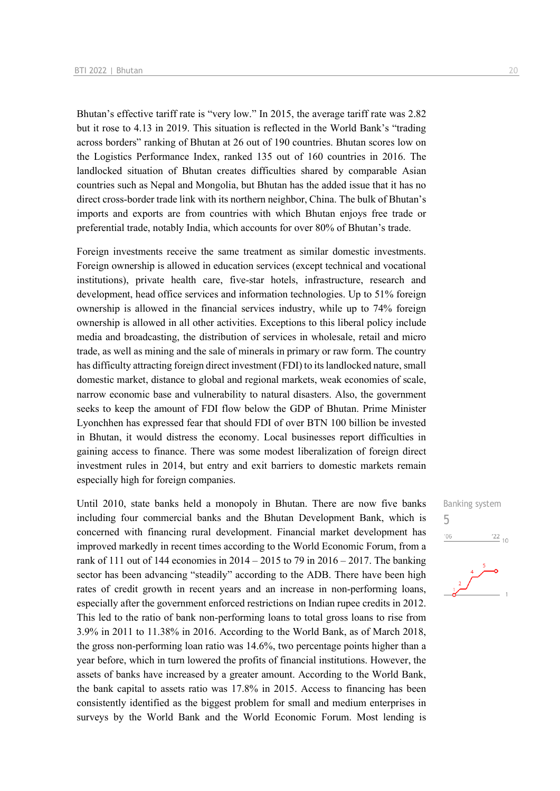Bhutan's effective tariff rate is "very low." In 2015, the average tariff rate was 2.82 but it rose to 4.13 in 2019. This situation is reflected in the World Bank's "trading across borders" ranking of Bhutan at 26 out of 190 countries. Bhutan scores low on the Logistics Performance Index, ranked 135 out of 160 countries in 2016. The landlocked situation of Bhutan creates difficulties shared by comparable Asian countries such as Nepal and Mongolia, but Bhutan has the added issue that it has no direct cross-border trade link with its northern neighbor, China. The bulk of Bhutan's imports and exports are from countries with which Bhutan enjoys free trade or preferential trade, notably India, which accounts for over 80% of Bhutan's trade.

Foreign investments receive the same treatment as similar domestic investments. Foreign ownership is allowed in education services (except technical and vocational institutions), private health care, five-star hotels, infrastructure, research and development, head office services and information technologies. Up to 51% foreign ownership is allowed in the financial services industry, while up to 74% foreign ownership is allowed in all other activities. Exceptions to this liberal policy include media and broadcasting, the distribution of services in wholesale, retail and micro trade, as well as mining and the sale of minerals in primary or raw form. The country has difficulty attracting foreign direct investment (FDI) to its landlocked nature, small domestic market, distance to global and regional markets, weak economies of scale, narrow economic base and vulnerability to natural disasters. Also, the government seeks to keep the amount of FDI flow below the GDP of Bhutan. Prime Minister Lyonchhen has expressed fear that should FDI of over BTN 100 billion be invested in Bhutan, it would distress the economy. Local businesses report difficulties in gaining access to finance. There was some modest liberalization of foreign direct investment rules in 2014, but entry and exit barriers to domestic markets remain especially high for foreign companies.

Until 2010, state banks held a monopoly in Bhutan. There are now five banks including four commercial banks and the Bhutan Development Bank, which is concerned with financing rural development. Financial market development has improved markedly in recent times according to the World Economic Forum, from a rank of 111 out of 144 economies in  $2014 - 2015$  to 79 in  $2016 - 2017$ . The banking sector has been advancing "steadily" according to the ADB. There have been high rates of credit growth in recent years and an increase in non-performing loans, especially after the government enforced restrictions on Indian rupee credits in 2012. This led to the ratio of bank non-performing loans to total gross loans to rise from 3.9% in 2011 to 11.38% in 2016. According to the World Bank, as of March 2018, the gross non-performing loan ratio was 14.6%, two percentage points higher than a year before, which in turn lowered the profits of financial institutions. However, the assets of banks have increased by a greater amount. According to the World Bank, the bank capital to assets ratio was 17.8% in 2015. Access to financing has been consistently identified as the biggest problem for small and medium enterprises in surveys by the World Bank and the World Economic Forum. Most lending is



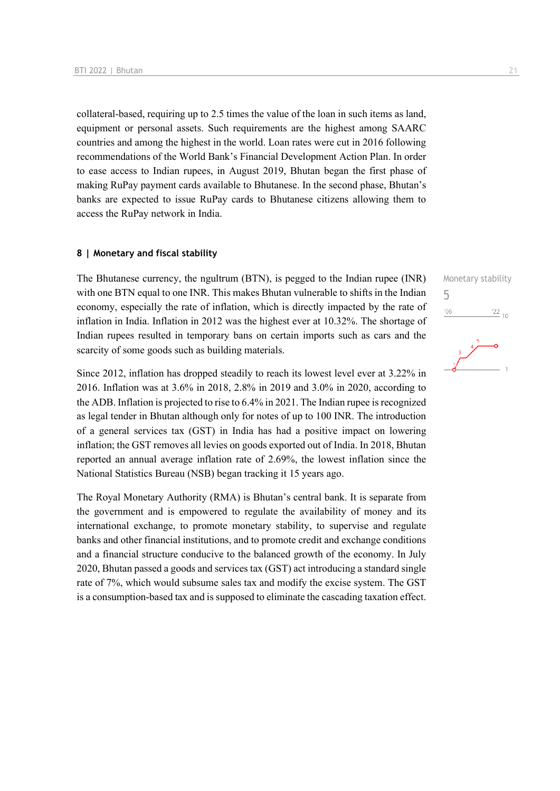collateral-based, requiring up to 2.5 times the value of the loan in such items as land, equipment or personal assets. Such requirements are the highest among SAARC countries and among the highest in the world. Loan rates were cut in 2016 following recommendations of the World Bank's Financial Development Action Plan. In order to ease access to Indian rupees, in August 2019, Bhutan began the first phase of making RuPay payment cards available to Bhutanese. In the second phase, Bhutan's banks are expected to issue RuPay cards to Bhutanese citizens allowing them to access the RuPay network in India.

#### **8 | Monetary and fiscal stability**

The Bhutanese currency, the ngultrum (BTN), is pegged to the Indian rupee (INR) with one BTN equal to one INR. This makes Bhutan vulnerable to shifts in the Indian economy, especially the rate of inflation, which is directly impacted by the rate of inflation in India. Inflation in 2012 was the highest ever at 10.32%. The shortage of Indian rupees resulted in temporary bans on certain imports such as cars and the scarcity of some goods such as building materials.

Since 2012, inflation has dropped steadily to reach its lowest level ever at 3.22% in 2016. Inflation was at 3.6% in 2018, 2.8% in 2019 and 3.0% in 2020, according to the ADB. Inflation is projected to rise to 6.4% in 2021. The Indian rupee is recognized as legal tender in Bhutan although only for notes of up to 100 INR. The introduction of a general services tax (GST) in India has had a positive impact on lowering inflation; the GST removes all levies on goods exported out of India. In 2018, Bhutan reported an annual average inflation rate of 2.69%, the lowest inflation since the National Statistics Bureau (NSB) began tracking it 15 years ago.

The Royal Monetary Authority (RMA) is Bhutan's central bank. It is separate from the government and is empowered to regulate the availability of money and its international exchange, to promote monetary stability, to supervise and regulate banks and other financial institutions, and to promote credit and exchange conditions and a financial structure conducive to the balanced growth of the economy. In July 2020, Bhutan passed a goods and services tax (GST) act introducing a standard single rate of 7%, which would subsume sales tax and modify the excise system. The GST is a consumption-based tax and is supposed to eliminate the cascading taxation effect. Monetary stability 5 $\frac{22}{10}$  $^{\prime}06$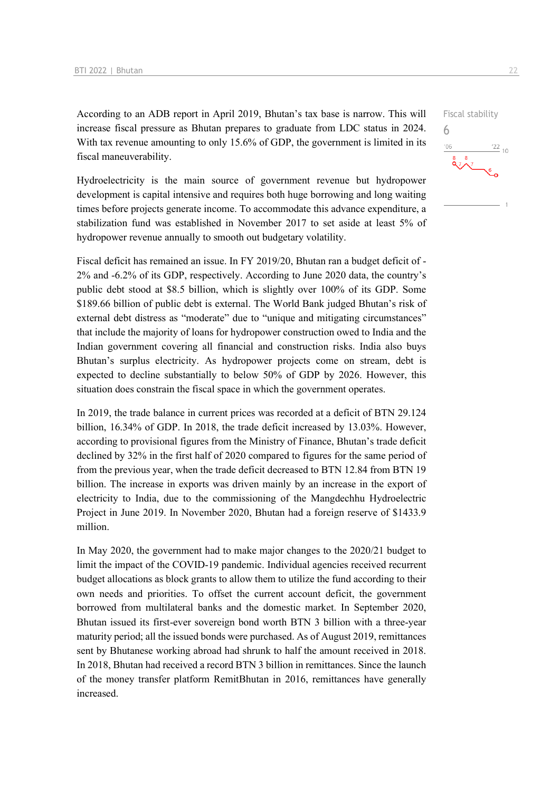According to an ADB report in April 2019, Bhutan's tax base is narrow. This will increase fiscal pressure as Bhutan prepares to graduate from LDC status in 2024. With tax revenue amounting to only 15.6% of GDP, the government is limited in its fiscal maneuverability.

Hydroelectricity is the main source of government revenue but hydropower development is capital intensive and requires both huge borrowing and long waiting times before projects generate income. To accommodate this advance expenditure, a stabilization fund was established in November 2017 to set aside at least 5% of hydropower revenue annually to smooth out budgetary volatility.

Fiscal deficit has remained an issue. In FY 2019/20, Bhutan ran a budget deficit of - 2% and -6.2% of its GDP, respectively. According to June 2020 data, the country's public debt stood at \$8.5 billion, which is slightly over 100% of its GDP. Some \$189.66 billion of public debt is external. The World Bank judged Bhutan's risk of external debt distress as "moderate" due to "unique and mitigating circumstances" that include the majority of loans for hydropower construction owed to India and the Indian government covering all financial and construction risks. India also buys Bhutan's surplus electricity. As hydropower projects come on stream, debt is expected to decline substantially to below 50% of GDP by 2026. However, this situation does constrain the fiscal space in which the government operates.

In 2019, the trade balance in current prices was recorded at a deficit of BTN 29.124 billion, 16.34% of GDP. In 2018, the trade deficit increased by 13.03%. However, according to provisional figures from the Ministry of Finance, Bhutan's trade deficit declined by 32% in the first half of 2020 compared to figures for the same period of from the previous year, when the trade deficit decreased to BTN 12.84 from BTN 19 billion. The increase in exports was driven mainly by an increase in the export of electricity to India, due to the commissioning of the Mangdechhu Hydroelectric Project in June 2019. In November 2020, Bhutan had a foreign reserve of \$1433.9 million.

In May 2020, the government had to make major changes to the 2020/21 budget to limit the impact of the COVID-19 pandemic. Individual agencies received recurrent budget allocations as block grants to allow them to utilize the fund according to their own needs and priorities. To offset the current account deficit, the government borrowed from multilateral banks and the domestic market. In September 2020, Bhutan issued its first-ever sovereign bond worth BTN 3 billion with a three-year maturity period; all the issued bonds were purchased. As of August 2019, remittances sent by Bhutanese working abroad had shrunk to half the amount received in 2018. In 2018, Bhutan had received a record BTN 3 billion in remittances. Since the launch of the money transfer platform RemitBhutan in 2016, remittances have generally increased.

 $\frac{22}{10}$ 

Fiscal stability

6

 $^{\prime}06$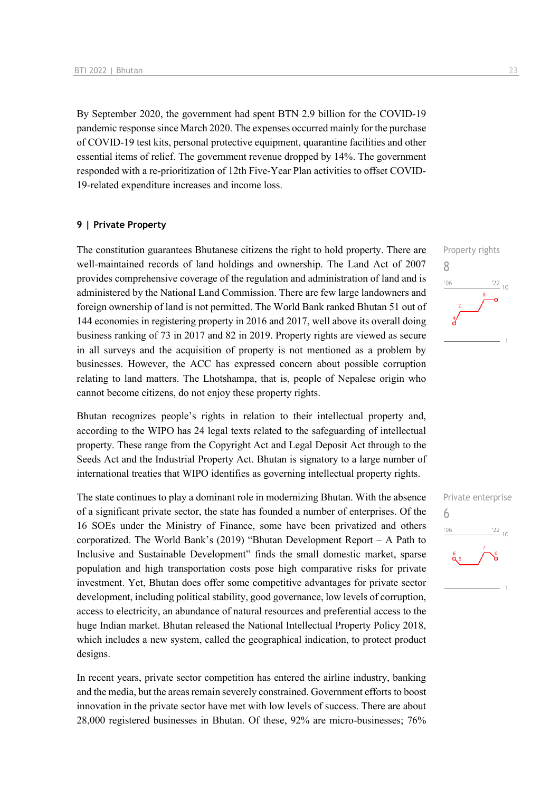By September 2020, the government had spent BTN 2.9 billion for the COVID-19 pandemic response since March 2020. The expenses occurred mainly for the purchase of COVID-19 test kits, personal protective equipment, quarantine facilities and other essential items of relief. The government revenue dropped by 14%. The government responded with a re-prioritization of 12th Five-Year Plan activities to offset COVID-19-related expenditure increases and income loss.

#### **9 | Private Property**

The constitution guarantees Bhutanese citizens the right to hold property. There are well-maintained records of land holdings and ownership. The Land Act of 2007 provides comprehensive coverage of the regulation and administration of land and is administered by the National Land Commission. There are few large landowners and foreign ownership of land is not permitted. The World Bank ranked Bhutan 51 out of 144 economies in registering property in 2016 and 2017, well above its overall doing business ranking of 73 in 2017 and 82 in 2019. Property rights are viewed as secure in all surveys and the acquisition of property is not mentioned as a problem by businesses. However, the ACC has expressed concern about possible corruption relating to land matters. The Lhotshampa, that is, people of Nepalese origin who cannot become citizens, do not enjoy these property rights.

Bhutan recognizes people's rights in relation to their intellectual property and, according to the WIPO has 24 legal texts related to the safeguarding of intellectual property. These range from the Copyright Act and Legal Deposit Act through to the Seeds Act and the Industrial Property Act. Bhutan is signatory to a large number of international treaties that WIPO identifies as governing intellectual property rights.

The state continues to play a dominant role in modernizing Bhutan. With the absence of a significant private sector, the state has founded a number of enterprises. Of the 16 SOEs under the Ministry of Finance, some have been privatized and others corporatized. The World Bank's (2019) "Bhutan Development Report – A Path to Inclusive and Sustainable Development" finds the small domestic market, sparse population and high transportation costs pose high comparative risks for private investment. Yet, Bhutan does offer some competitive advantages for private sector development, including political stability, good governance, low levels of corruption, access to electricity, an abundance of natural resources and preferential access to the huge Indian market. Bhutan released the National Intellectual Property Policy 2018, which includes a new system, called the geographical indication, to protect product designs.

In recent years, private sector competition has entered the airline industry, banking and the media, but the areas remain severely constrained. Government efforts to boost innovation in the private sector have met with low levels of success. There are about 28,000 registered businesses in Bhutan. Of these, 92% are micro-businesses; 76%



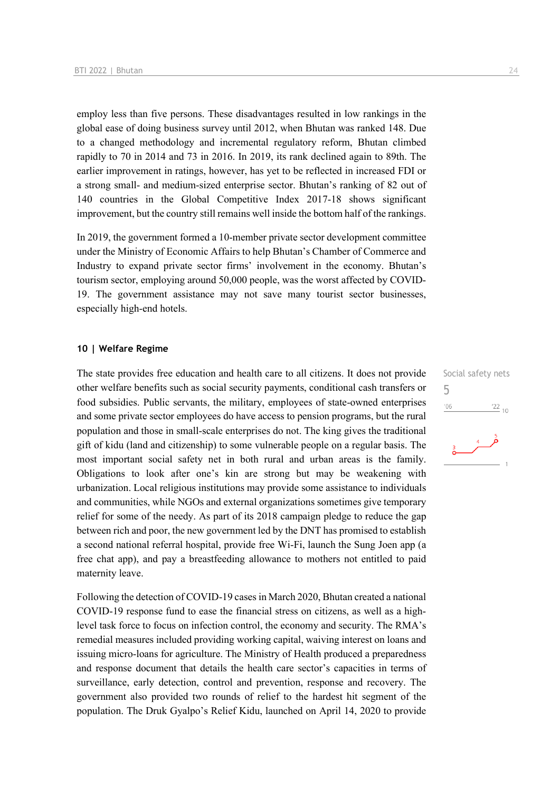employ less than five persons. These disadvantages resulted in low rankings in the global ease of doing business survey until 2012, when Bhutan was ranked 148. Due to a changed methodology and incremental regulatory reform, Bhutan climbed rapidly to 70 in 2014 and 73 in 2016. In 2019, its rank declined again to 89th. The earlier improvement in ratings, however, has yet to be reflected in increased FDI or a strong small- and medium-sized enterprise sector. Bhutan's ranking of 82 out of 140 countries in the Global Competitive Index 2017-18 shows significant improvement, but the country still remains well inside the bottom half of the rankings.

In 2019, the government formed a 10-member private sector development committee under the Ministry of Economic Affairs to help Bhutan's Chamber of Commerce and Industry to expand private sector firms' involvement in the economy. Bhutan's tourism sector, employing around 50,000 people, was the worst affected by COVID-19. The government assistance may not save many tourist sector businesses, especially high-end hotels.

#### **10 | Welfare Regime**

The state provides free education and health care to all citizens. It does not provide other welfare benefits such as social security payments, conditional cash transfers or food subsidies. Public servants, the military, employees of state-owned enterprises and some private sector employees do have access to pension programs, but the rural population and those in small-scale enterprises do not. The king gives the traditional gift of kidu (land and citizenship) to some vulnerable people on a regular basis. The most important social safety net in both rural and urban areas is the family. Obligations to look after one's kin are strong but may be weakening with urbanization. Local religious institutions may provide some assistance to individuals and communities, while NGOs and external organizations sometimes give temporary relief for some of the needy. As part of its 2018 campaign pledge to reduce the gap between rich and poor, the new government led by the DNT has promised to establish a second national referral hospital, provide free Wi-Fi, launch the Sung Joen app (a free chat app), and pay a breastfeeding allowance to mothers not entitled to paid maternity leave.

Following the detection of COVID-19 cases in March 2020, Bhutan created a national COVID-19 response fund to ease the financial stress on citizens, as well as a highlevel task force to focus on infection control, the economy and security. The RMA's remedial measures included providing working capital, waiving interest on loans and issuing micro-loans for agriculture. The Ministry of Health produced a preparedness and response document that details the health care sector's capacities in terms of surveillance, early detection, control and prevention, response and recovery. The government also provided two rounds of relief to the hardest hit segment of the population. The Druk Gyalpo's Relief Kidu, launched on April 14, 2020 to provide

Social safety nets 5 $^{\prime}06$  $\frac{22}{10}$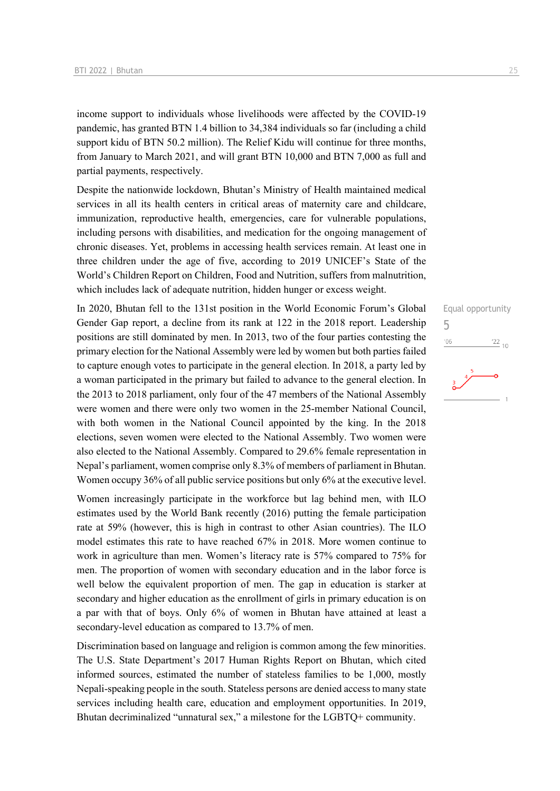income support to individuals whose livelihoods were affected by the COVID-19 pandemic, has granted BTN 1.4 billion to 34,384 individuals so far (including a child support kidu of BTN 50.2 million). The Relief Kidu will continue for three months, from January to March 2021, and will grant BTN 10,000 and BTN 7,000 as full and partial payments, respectively.

Despite the nationwide lockdown, Bhutan's Ministry of Health maintained medical services in all its health centers in critical areas of maternity care and childcare, immunization, reproductive health, emergencies, care for vulnerable populations, including persons with disabilities, and medication for the ongoing management of chronic diseases. Yet, problems in accessing health services remain. At least one in three children under the age of five, according to 2019 UNICEF's State of the World's Children Report on Children, Food and Nutrition, suffers from malnutrition, which includes lack of adequate nutrition, hidden hunger or excess weight.

In 2020, Bhutan fell to the 131st position in the World Economic Forum's Global Gender Gap report, a decline from its rank at 122 in the 2018 report. Leadership positions are still dominated by men. In 2013, two of the four parties contesting the primary election for the National Assembly were led by women but both parties failed to capture enough votes to participate in the general election. In 2018, a party led by a woman participated in the primary but failed to advance to the general election. In the 2013 to 2018 parliament, only four of the 47 members of the National Assembly were women and there were only two women in the 25-member National Council, with both women in the National Council appointed by the king. In the 2018 elections, seven women were elected to the National Assembly. Two women were also elected to the National Assembly. Compared to 29.6% female representation in Nepal's parliament, women comprise only 8.3% of members of parliament in Bhutan. Women occupy 36% of all public service positions but only 6% at the executive level.

Women increasingly participate in the workforce but lag behind men, with ILO estimates used by the World Bank recently (2016) putting the female participation rate at 59% (however, this is high in contrast to other Asian countries). The ILO model estimates this rate to have reached 67% in 2018. More women continue to work in agriculture than men. Women's literacy rate is 57% compared to 75% for men. The proportion of women with secondary education and in the labor force is well below the equivalent proportion of men. The gap in education is starker at secondary and higher education as the enrollment of girls in primary education is on a par with that of boys. Only 6% of women in Bhutan have attained at least a secondary-level education as compared to 13.7% of men.

Discrimination based on language and religion is common among the few minorities. The U.S. State Department's 2017 Human Rights Report on Bhutan, which cited informed sources, estimated the number of stateless families to be 1,000, mostly Nepali-speaking people in the south. Stateless persons are denied access to many state services including health care, education and employment opportunities. In 2019, Bhutan decriminalized "unnatural sex," a milestone for the LGBTQ+ community.

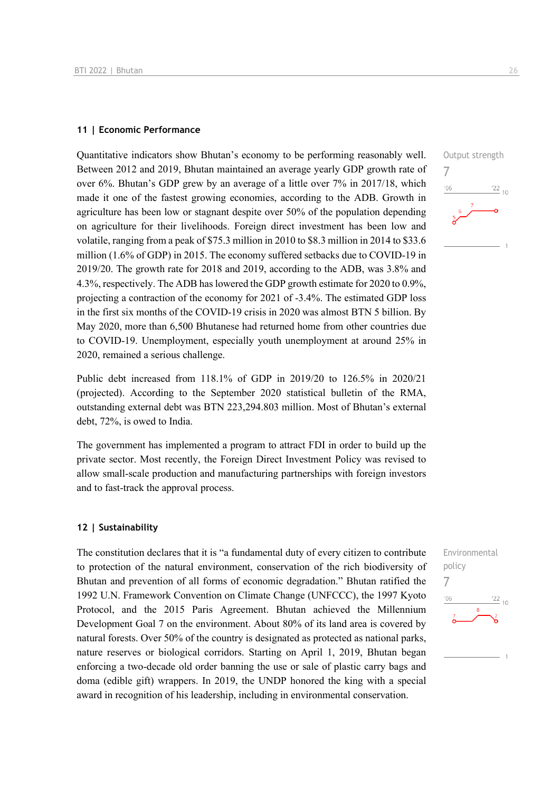#### **11 | Economic Performance**

Quantitative indicators show Bhutan's economy to be performing reasonably well. Between 2012 and 2019, Bhutan maintained an average yearly GDP growth rate of over 6%. Bhutan's GDP grew by an average of a little over 7% in 2017/18, which made it one of the fastest growing economies, according to the ADB. Growth in agriculture has been low or stagnant despite over 50% of the population depending on agriculture for their livelihoods. Foreign direct investment has been low and volatile, ranging from a peak of \$75.3 million in 2010 to \$8.3 million in 2014 to \$33.6 million (1.6% of GDP) in 2015. The economy suffered setbacks due to COVID-19 in 2019/20. The growth rate for 2018 and 2019, according to the ADB, was 3.8% and 4.3%, respectively. The ADB has lowered the GDP growth estimate for 2020 to 0.9%, projecting a contraction of the economy for 2021 of -3.4%. The estimated GDP loss in the first six months of the COVID-19 crisis in 2020 was almost BTN 5 billion. By May 2020, more than 6,500 Bhutanese had returned home from other countries due to COVID-19. Unemployment, especially youth unemployment at around 25% in 2020, remained a serious challenge.

Public debt increased from 118.1% of GDP in 2019/20 to 126.5% in 2020/21 (projected). According to the September 2020 statistical bulletin of the RMA, outstanding external debt was BTN 223,294.803 million. Most of Bhutan's external debt, 72%, is owed to India.

The government has implemented a program to attract FDI in order to build up the private sector. Most recently, the Foreign Direct Investment Policy was revised to allow small-scale production and manufacturing partnerships with foreign investors and to fast-track the approval process.

#### **12 | Sustainability**

The constitution declares that it is "a fundamental duty of every citizen to contribute to protection of the natural environment, conservation of the rich biodiversity of Bhutan and prevention of all forms of economic degradation." Bhutan ratified the 1992 U.N. Framework Convention on Climate Change (UNFCCC), the 1997 Kyoto Protocol, and the 2015 Paris Agreement. Bhutan achieved the Millennium Development Goal 7 on the environment. About 80% of its land area is covered by natural forests. Over 50% of the country is designated as protected as national parks, nature reserves or biological corridors. Starting on April 1, 2019, Bhutan began enforcing a two-decade old order banning the use or sale of plastic carry bags and doma (edible gift) wrappers. In 2019, the UNDP honored the king with a special award in recognition of his leadership, including in environmental conservation.



7

 $-06$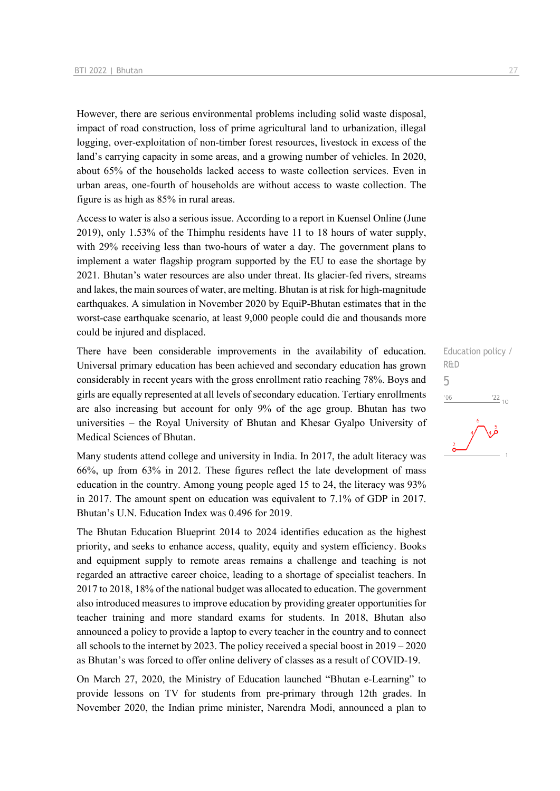However, there are serious environmental problems including solid waste disposal, impact of road construction, loss of prime agricultural land to urbanization, illegal logging, over-exploitation of non-timber forest resources, livestock in excess of the land's carrying capacity in some areas, and a growing number of vehicles. In 2020, about 65% of the households lacked access to waste collection services. Even in urban areas, one-fourth of households are without access to waste collection. The figure is as high as 85% in rural areas.

Access to water is also a serious issue. According to a report in Kuensel Online (June 2019), only 1.53% of the Thimphu residents have 11 to 18 hours of water supply, with 29% receiving less than two-hours of water a day. The government plans to implement a water flagship program supported by the EU to ease the shortage by 2021. Bhutan's water resources are also under threat. Its glacier-fed rivers, streams and lakes, the main sources of water, are melting. Bhutan is at risk for high-magnitude earthquakes. A simulation in November 2020 by EquiP-Bhutan estimates that in the worst-case earthquake scenario, at least 9,000 people could die and thousands more could be injured and displaced.

There have been considerable improvements in the availability of education. Universal primary education has been achieved and secondary education has grown considerably in recent years with the gross enrollment ratio reaching 78%. Boys and girls are equally represented at all levels of secondary education. Tertiary enrollments are also increasing but account for only 9% of the age group. Bhutan has two universities – the Royal University of Bhutan and Khesar Gyalpo University of Medical Sciences of Bhutan.

Many students attend college and university in India. In 2017, the adult literacy was 66%, up from 63% in 2012. These figures reflect the late development of mass education in the country. Among young people aged 15 to 24, the literacy was 93% in 2017. The amount spent on education was equivalent to 7.1% of GDP in 2017. Bhutan's U.N. Education Index was 0.496 for 2019.

The Bhutan Education Blueprint 2014 to 2024 identifies education as the highest priority, and seeks to enhance access, quality, equity and system efficiency. Books and equipment supply to remote areas remains a challenge and teaching is not regarded an attractive career choice, leading to a shortage of specialist teachers. In 2017 to 2018, 18% of the national budget was allocated to education. The government also introduced measures to improve education by providing greater opportunities for teacher training and more standard exams for students. In 2018, Bhutan also announced a policy to provide a laptop to every teacher in the country and to connect all schools to the internet by 2023. The policy received a special boost in 2019 – 2020 as Bhutan's was forced to offer online delivery of classes as a result of COVID-19.

On March 27, 2020, the Ministry of Education launched "Bhutan e-Learning" to provide lessons on TV for students from pre-primary through 12th grades. In November 2020, the Indian prime minister, Narendra Modi, announced a plan to

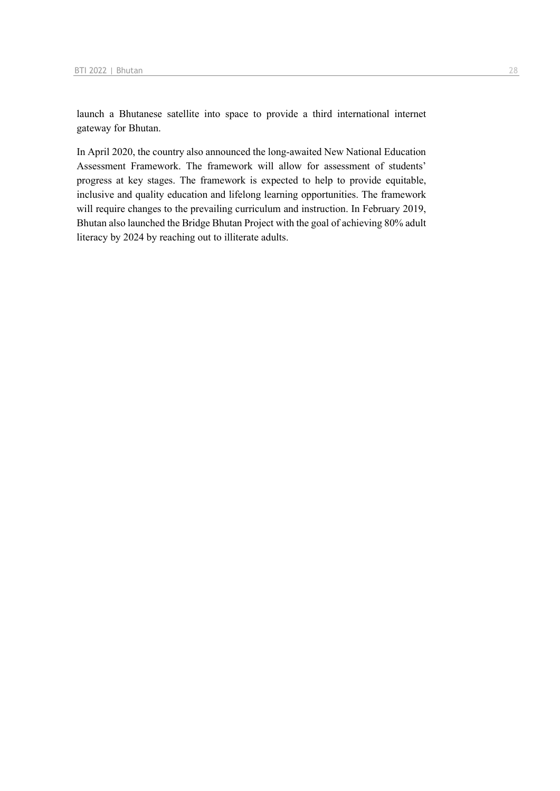launch a Bhutanese satellite into space to provide a third international internet gateway for Bhutan.

In April 2020, the country also announced the long-awaited New National Education Assessment Framework. The framework will allow for assessment of students' progress at key stages. The framework is expected to help to provide equitable, inclusive and quality education and lifelong learning opportunities. The framework will require changes to the prevailing curriculum and instruction. In February 2019, Bhutan also launched the Bridge Bhutan Project with the goal of achieving 80% adult literacy by 2024 by reaching out to illiterate adults.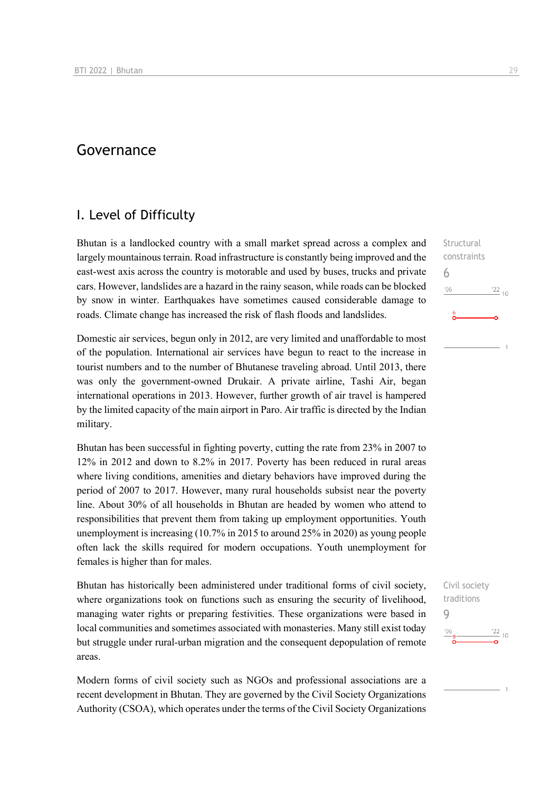## Governance

## I. Level of Difficulty

Bhutan is a landlocked country with a small market spread across a complex and largely mountainous terrain. Road infrastructure is constantly being improved and the east-west axis across the country is motorable and used by buses, trucks and private cars. However, landslides are a hazard in the rainy season, while roads can be blocked by snow in winter. Earthquakes have sometimes caused considerable damage to roads. Climate change has increased the risk of flash floods and landslides.

Domestic air services, begun only in 2012, are very limited and unaffordable to most of the population. International air services have begun to react to the increase in tourist numbers and to the number of Bhutanese traveling abroad. Until 2013, there was only the government-owned Drukair. A private airline, Tashi Air, began international operations in 2013. However, further growth of air travel is hampered by the limited capacity of the main airport in Paro. Air traffic is directed by the Indian military.

Bhutan has been successful in fighting poverty, cutting the rate from 23% in 2007 to 12% in 2012 and down to 8.2% in 2017. Poverty has been reduced in rural areas where living conditions, amenities and dietary behaviors have improved during the period of 2007 to 2017. However, many rural households subsist near the poverty line. About 30% of all households in Bhutan are headed by women who attend to responsibilities that prevent them from taking up employment opportunities. Youth unemployment is increasing (10.7% in 2015 to around 25% in 2020) as young people often lack the skills required for modern occupations. Youth unemployment for females is higher than for males.

Bhutan has historically been administered under traditional forms of civil society, where organizations took on functions such as ensuring the security of livelihood, managing water rights or preparing festivities. These organizations were based in local communities and sometimes associated with monasteries. Many still exist today but struggle under rural-urban migration and the consequent depopulation of remote areas.

Modern forms of civil society such as NGOs and professional associations are a recent development in Bhutan. They are governed by the Civil Society Organizations Authority (CSOA), which operates under the terms of the Civil Society Organizations

**Structural** constraints 6  $n<sub>6</sub>$  $^{22}$  10

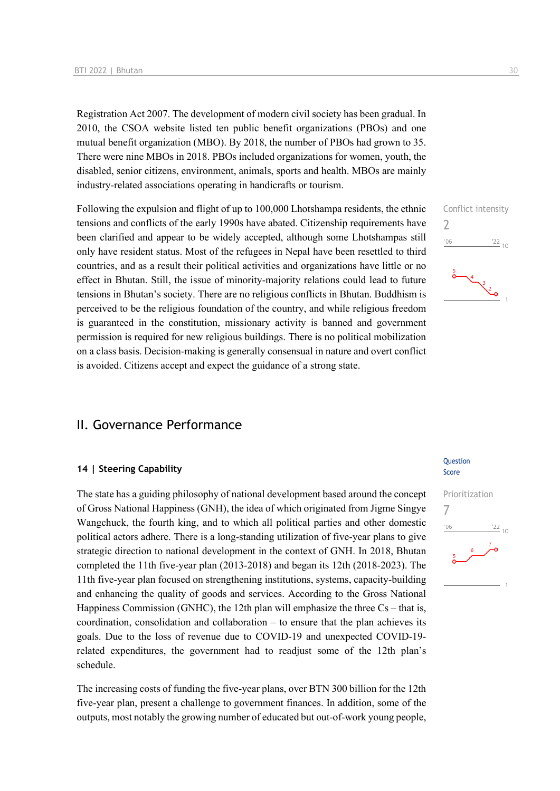Registration Act 2007. The development of modern civil society has been gradual. In 2010, the CSOA website listed ten public benefit organizations (PBOs) and one mutual benefit organization (MBO). By 2018, the number of PBOs had grown to 35. There were nine MBOs in 2018. PBOs included organizations for women, youth, the disabled, senior citizens, environment, animals, sports and health. MBOs are mainly industry-related associations operating in handicrafts or tourism.

Following the expulsion and flight of up to 100,000 Lhotshampa residents, the ethnic tensions and conflicts of the early 1990s have abated. Citizenship requirements have been clarified and appear to be widely accepted, although some Lhotshampas still only have resident status. Most of the refugees in Nepal have been resettled to third countries, and as a result their political activities and organizations have little or no effect in Bhutan. Still, the issue of minority-majority relations could lead to future tensions in Bhutan's society. There are no religious conflicts in Bhutan. Buddhism is perceived to be the religious foundation of the country, and while religious freedom is guaranteed in the constitution, missionary activity is banned and government permission is required for new religious buildings. There is no political mobilization on a class basis. Decision-making is generally consensual in nature and overt conflict is avoided. Citizens accept and expect the guidance of a strong state.

### II. Governance Performance

#### **14 | Steering Capability**

The state has a guiding philosophy of national development based around the concept of Gross National Happiness (GNH), the idea of which originated from Jigme Singye Wangchuck, the fourth king, and to which all political parties and other domestic political actors adhere. There is a long-standing utilization of five-year plans to give strategic direction to national development in the context of GNH. In 2018, Bhutan completed the 11th five-year plan (2013-2018) and began its 12th (2018-2023). The 11th five-year plan focused on strengthening institutions, systems, capacity-building and enhancing the quality of goods and services. According to the Gross National Happiness Commission (GNHC), the 12th plan will emphasize the three  $Cs$  – that is, coordination, consolidation and collaboration – to ensure that the plan achieves its goals. Due to the loss of revenue due to COVID-19 and unexpected COVID-19 related expenditures, the government had to readjust some of the 12th plan's schedule.

The increasing costs of funding the five-year plans, over BTN 300 billion for the 12th five-year plan, present a challenge to government finances. In addition, some of the outputs, most notably the growing number of educated but out-of-work young people,

#### **Ouestion** Score



 $\overline{\phantom{0}}$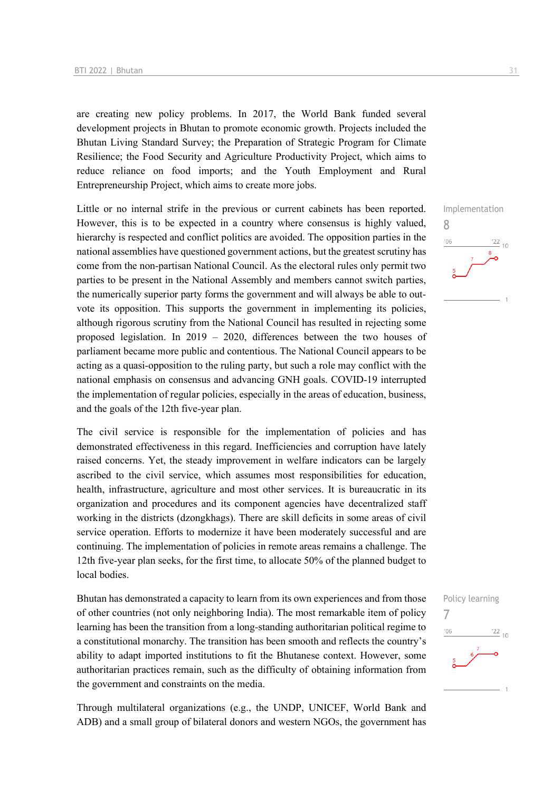are creating new policy problems. In 2017, the World Bank funded several development projects in Bhutan to promote economic growth. Projects included the Bhutan Living Standard Survey; the Preparation of Strategic Program for Climate Resilience; the Food Security and Agriculture Productivity Project, which aims to reduce reliance on food imports; and the Youth Employment and Rural Entrepreneurship Project, which aims to create more jobs.

Little or no internal strife in the previous or current cabinets has been reported. However, this is to be expected in a country where consensus is highly valued, hierarchy is respected and conflict politics are avoided. The opposition parties in the national assemblies have questioned government actions, but the greatest scrutiny has come from the non-partisan National Council. As the electoral rules only permit two parties to be present in the National Assembly and members cannot switch parties, the numerically superior party forms the government and will always be able to outvote its opposition. This supports the government in implementing its policies, although rigorous scrutiny from the National Council has resulted in rejecting some proposed legislation. In 2019 – 2020, differences between the two houses of parliament became more public and contentious. The National Council appears to be acting as a quasi-opposition to the ruling party, but such a role may conflict with the national emphasis on consensus and advancing GNH goals. COVID-19 interrupted the implementation of regular policies, especially in the areas of education, business, and the goals of the 12th five-year plan.

The civil service is responsible for the implementation of policies and has demonstrated effectiveness in this regard. Inefficiencies and corruption have lately raised concerns. Yet, the steady improvement in welfare indicators can be largely ascribed to the civil service, which assumes most responsibilities for education, health, infrastructure, agriculture and most other services. It is bureaucratic in its organization and procedures and its component agencies have decentralized staff working in the districts (dzongkhags). There are skill deficits in some areas of civil service operation. Efforts to modernize it have been moderately successful and are continuing. The implementation of policies in remote areas remains a challenge. The 12th five-year plan seeks, for the first time, to allocate 50% of the planned budget to local bodies.

Bhutan has demonstrated a capacity to learn from its own experiences and from those of other countries (not only neighboring India). The most remarkable item of policy learning has been the transition from a long-standing authoritarian political regime to a constitutional monarchy. The transition has been smooth and reflects the country's ability to adapt imported institutions to fit the Bhutanese context. However, some authoritarian practices remain, such as the difficulty of obtaining information from the government and constraints on the media.

Through multilateral organizations (e.g., the UNDP, UNICEF, World Bank and ADB) and a small group of bilateral donors and western NGOs, the government has

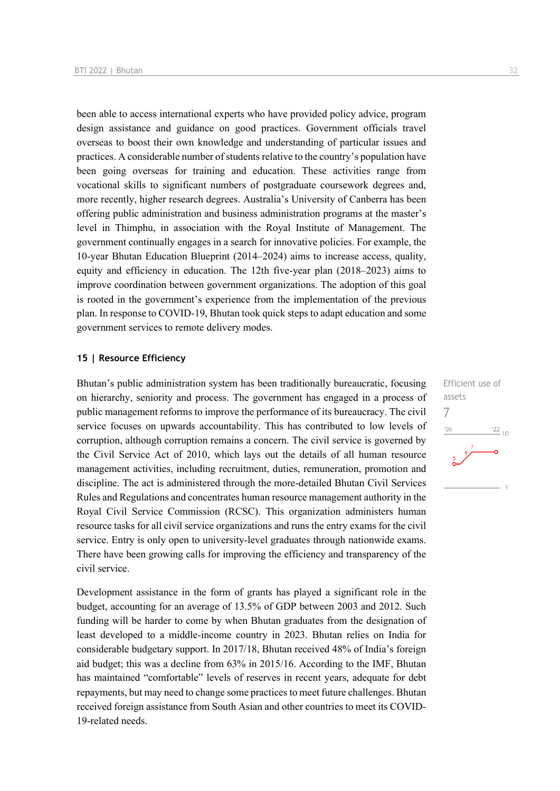been able to access international experts who have provided policy advice, program design assistance and guidance on good practices. Government officials travel overseas to boost their own knowledge and understanding of particular issues and practices. A considerable number of students relative to the country's population have been going overseas for training and education. These activities range from vocational skills to significant numbers of postgraduate coursework degrees and, more recently, higher research degrees. Australia's University of Canberra has been offering public administration and business administration programs at the master's level in Thimphu, in association with the Royal Institute of Management. The government continually engages in a search for innovative policies. For example, the 10-year Bhutan Education Blueprint (2014–2024) aims to increase access, quality, equity and efficiency in education. The 12th five-year plan (2018–2023) aims to improve coordination between government organizations. The adoption of this goal is rooted in the government's experience from the implementation of the previous plan. In response to COVID-19, Bhutan took quick steps to adapt education and some government services to remote delivery modes.

#### **15 | Resource Efficiency**

Bhutan's public administration system has been traditionally bureaucratic, focusing on hierarchy, seniority and process. The government has engaged in a process of public management reforms to improve the performance of its bureaucracy. The civil service focuses on upwards accountability. This has contributed to low levels of corruption, although corruption remains a concern. The civil service is governed by the Civil Service Act of 2010, which lays out the details of all human resource management activities, including recruitment, duties, remuneration, promotion and discipline. The act is administered through the more-detailed Bhutan Civil Services Rules and Regulations and concentrates human resource management authority in the Royal Civil Service Commission (RCSC). This organization administers human resource tasks for all civil service organizations and runs the entry exams for the civil service. Entry is only open to university-level graduates through nationwide exams. There have been growing calls for improving the efficiency and transparency of the civil service.

Development assistance in the form of grants has played a significant role in the budget, accounting for an average of 13.5% of GDP between 2003 and 2012. Such funding will be harder to come by when Bhutan graduates from the designation of least developed to a middle-income country in 2023. Bhutan relies on India for considerable budgetary support. In 2017/18, Bhutan received 48% of India's foreign aid budget; this was a decline from 63% in 2015/16. According to the IMF, Bhutan has maintained "comfortable" levels of reserves in recent years, adequate for debt repayments, but may need to change some practices to meet future challenges. Bhutan received foreign assistance from South Asian and other countries to meet its COVID-19-related needs.

Efficient use of assets 7 $\frac{22}{10}$  $-06$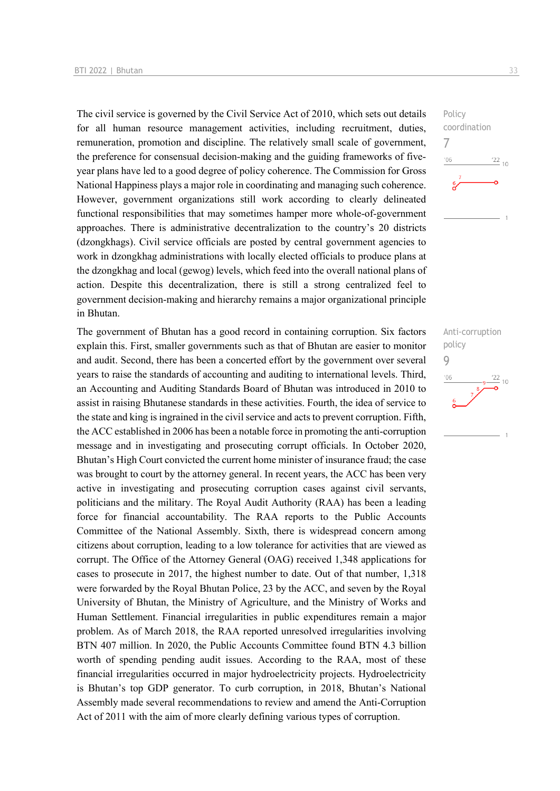The civil service is governed by the Civil Service Act of 2010, which sets out details for all human resource management activities, including recruitment, duties, remuneration, promotion and discipline. The relatively small scale of government, the preference for consensual decision-making and the guiding frameworks of fiveyear plans have led to a good degree of policy coherence. The Commission for Gross National Happiness plays a major role in coordinating and managing such coherence. However, government organizations still work according to clearly delineated functional responsibilities that may sometimes hamper more whole-of-government approaches. There is administrative decentralization to the country's 20 districts (dzongkhags). Civil service officials are posted by central government agencies to work in dzongkhag administrations with locally elected officials to produce plans at the dzongkhag and local (gewog) levels, which feed into the overall national plans of action. Despite this decentralization, there is still a strong centralized feel to government decision-making and hierarchy remains a major organizational principle in Bhutan.

The government of Bhutan has a good record in containing corruption. Six factors explain this. First, smaller governments such as that of Bhutan are easier to monitor and audit. Second, there has been a concerted effort by the government over several years to raise the standards of accounting and auditing to international levels. Third, an Accounting and Auditing Standards Board of Bhutan was introduced in 2010 to assist in raising Bhutanese standards in these activities. Fourth, the idea of service to the state and king is ingrained in the civil service and acts to prevent corruption. Fifth, the ACC established in 2006 has been a notable force in promoting the anti-corruption message and in investigating and prosecuting corrupt officials. In October 2020, Bhutan's High Court convicted the current home minister of insurance fraud; the case was brought to court by the attorney general. In recent years, the ACC has been very active in investigating and prosecuting corruption cases against civil servants, politicians and the military. The Royal Audit Authority (RAA) has been a leading force for financial accountability. The RAA reports to the Public Accounts Committee of the National Assembly. Sixth, there is widespread concern among citizens about corruption, leading to a low tolerance for activities that are viewed as corrupt. The Office of the Attorney General (OAG) received 1,348 applications for cases to prosecute in 2017, the highest number to date. Out of that number, 1,318 were forwarded by the Royal Bhutan Police, 23 by the ACC, and seven by the Royal University of Bhutan, the Ministry of Agriculture, and the Ministry of Works and Human Settlement. Financial irregularities in public expenditures remain a major problem. As of March 2018, the RAA reported unresolved irregularities involving BTN 407 million. In 2020, the Public Accounts Committee found BTN 4.3 billion worth of spending pending audit issues. According to the RAA, most of these financial irregularities occurred in major hydroelectricity projects. Hydroelectricity is Bhutan's top GDP generator. To curb corruption, in 2018, Bhutan's National Assembly made several recommendations to review and amend the Anti-Corruption Act of 2011 with the aim of more clearly defining various types of corruption.



Anti-corruption policy 9 $\frac{22}{10}$  $-06$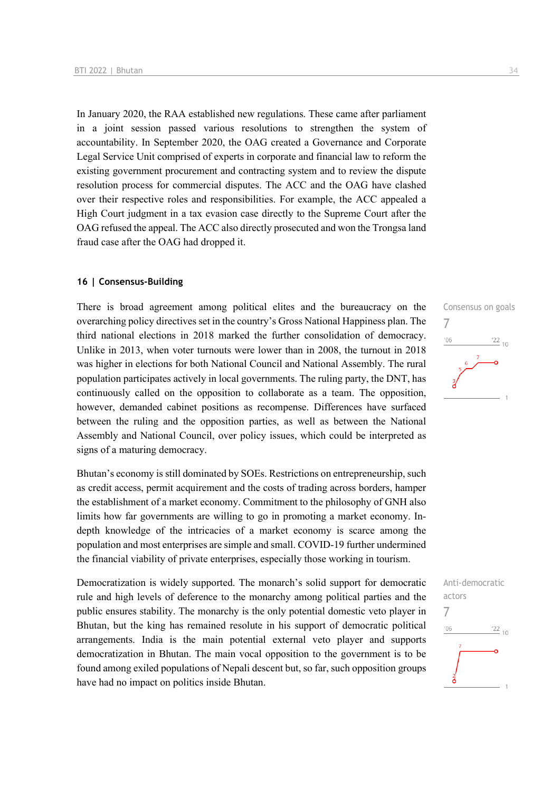In January 2020, the RAA established new regulations. These came after parliament in a joint session passed various resolutions to strengthen the system of accountability. In September 2020, the OAG created a Governance and Corporate Legal Service Unit comprised of experts in corporate and financial law to reform the existing government procurement and contracting system and to review the dispute resolution process for commercial disputes. The ACC and the OAG have clashed over their respective roles and responsibilities. For example, the ACC appealed a High Court judgment in a tax evasion case directly to the Supreme Court after the OAG refused the appeal. The ACC also directly prosecuted and won the Trongsa land fraud case after the OAG had dropped it.

#### **16 | Consensus-Building**

There is broad agreement among political elites and the bureaucracy on the overarching policy directives set in the country's Gross National Happiness plan. The third national elections in 2018 marked the further consolidation of democracy. Unlike in 2013, when voter turnouts were lower than in 2008, the turnout in 2018 was higher in elections for both National Council and National Assembly. The rural population participates actively in local governments. The ruling party, the DNT, has continuously called on the opposition to collaborate as a team. The opposition, however, demanded cabinet positions as recompense. Differences have surfaced between the ruling and the opposition parties, as well as between the National Assembly and National Council, over policy issues, which could be interpreted as signs of a maturing democracy.

Bhutan's economy is still dominated by SOEs. Restrictions on entrepreneurship, such as credit access, permit acquirement and the costs of trading across borders, hamper the establishment of a market economy. Commitment to the philosophy of GNH also limits how far governments are willing to go in promoting a market economy. Indepth knowledge of the intricacies of a market economy is scarce among the population and most enterprises are simple and small. COVID-19 further undermined the financial viability of private enterprises, especially those working in tourism.

Democratization is widely supported. The monarch's solid support for democratic rule and high levels of deference to the monarchy among political parties and the public ensures stability. The monarchy is the only potential domestic veto player in Bhutan, but the king has remained resolute in his support of democratic political arrangements. India is the main potential external veto player and supports democratization in Bhutan. The main vocal opposition to the government is to be found among exiled populations of Nepali descent but, so far, such opposition groups have had no impact on politics inside Bhutan.



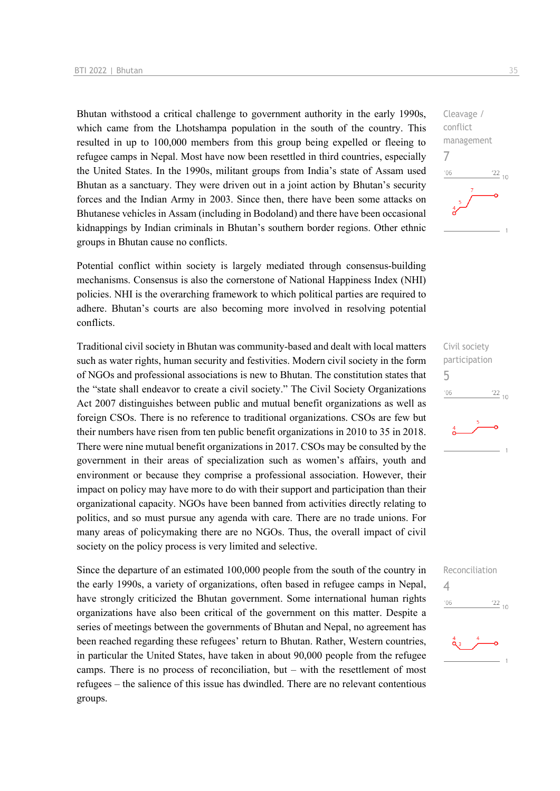Bhutan withstood a critical challenge to government authority in the early 1990s, which came from the Lhotshampa population in the south of the country. This resulted in up to 100,000 members from this group being expelled or fleeing to refugee camps in Nepal. Most have now been resettled in third countries, especially the United States. In the 1990s, militant groups from India's state of Assam used Bhutan as a sanctuary. They were driven out in a joint action by Bhutan's security forces and the Indian Army in 2003. Since then, there have been some attacks on Bhutanese vehicles in Assam (including in Bodoland) and there have been occasional kidnappings by Indian criminals in Bhutan's southern border regions. Other ethnic groups in Bhutan cause no conflicts.

Potential conflict within society is largely mediated through consensus-building mechanisms. Consensus is also the cornerstone of National Happiness Index (NHI) policies. NHI is the overarching framework to which political parties are required to adhere. Bhutan's courts are also becoming more involved in resolving potential conflicts.

Traditional civil society in Bhutan was community-based and dealt with local matters such as water rights, human security and festivities. Modern civil society in the form of NGOs and professional associations is new to Bhutan. The constitution states that the "state shall endeavor to create a civil society." The Civil Society Organizations Act 2007 distinguishes between public and mutual benefit organizations as well as foreign CSOs. There is no reference to traditional organizations. CSOs are few but their numbers have risen from ten public benefit organizations in 2010 to 35 in 2018. There were nine mutual benefit organizations in 2017. CSOs may be consulted by the government in their areas of specialization such as women's affairs, youth and environment or because they comprise a professional association. However, their impact on policy may have more to do with their support and participation than their organizational capacity. NGOs have been banned from activities directly relating to politics, and so must pursue any agenda with care. There are no trade unions. For many areas of policymaking there are no NGOs. Thus, the overall impact of civil society on the policy process is very limited and selective.

Since the departure of an estimated 100,000 people from the south of the country in the early 1990s, a variety of organizations, often based in refugee camps in Nepal, have strongly criticized the Bhutan government. Some international human rights organizations have also been critical of the government on this matter. Despite a series of meetings between the governments of Bhutan and Nepal, no agreement has been reached regarding these refugees' return to Bhutan. Rather, Western countries, in particular the United States, have taken in about 90,000 people from the refugee camps. There is no process of reconciliation, but – with the resettlement of most refugees – the salience of this issue has dwindled. There are no relevant contentious groups.



Civil society participation 5  $\frac{22}{10}$  $'06$ 

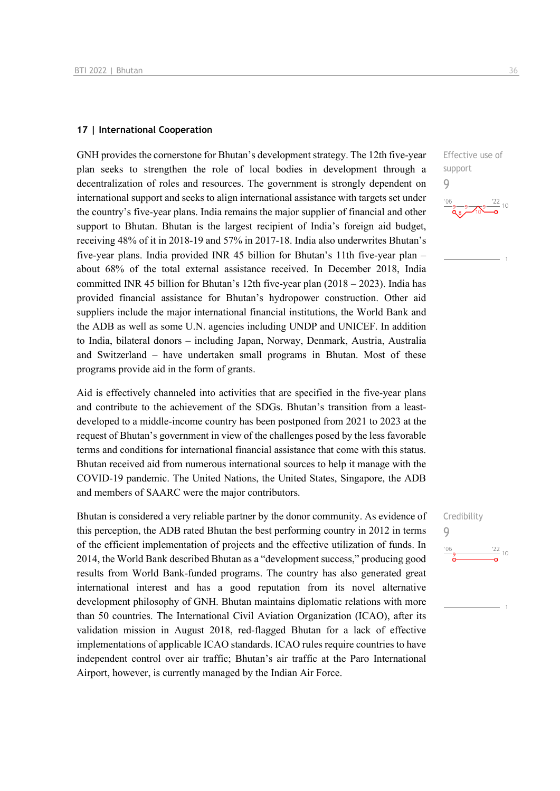#### **17 | International Cooperation**

GNH provides the cornerstone for Bhutan's development strategy. The 12th five-year plan seeks to strengthen the role of local bodies in development through a decentralization of roles and resources. The government is strongly dependent on international support and seeks to align international assistance with targets set under the country's five-year plans. India remains the major supplier of financial and other support to Bhutan. Bhutan is the largest recipient of India's foreign aid budget, receiving 48% of it in 2018-19 and 57% in 2017-18. India also underwrites Bhutan's five-year plans. India provided INR 45 billion for Bhutan's 11th five-year plan – about 68% of the total external assistance received. In December 2018, India committed INR 45 billion for Bhutan's 12th five-year plan (2018 – 2023). India has provided financial assistance for Bhutan's hydropower construction. Other aid suppliers include the major international financial institutions, the World Bank and the ADB as well as some U.N. agencies including UNDP and UNICEF. In addition to India, bilateral donors – including Japan, Norway, Denmark, Austria, Australia and Switzerland – have undertaken small programs in Bhutan. Most of these programs provide aid in the form of grants.

Aid is effectively channeled into activities that are specified in the five-year plans and contribute to the achievement of the SDGs. Bhutan's transition from a leastdeveloped to a middle-income country has been postponed from 2021 to 2023 at the request of Bhutan's government in view of the challenges posed by the less favorable terms and conditions for international financial assistance that come with this status. Bhutan received aid from numerous international sources to help it manage with the COVID-19 pandemic. The United Nations, the United States, Singapore, the ADB and members of SAARC were the major contributors.

Bhutan is considered a very reliable partner by the donor community. As evidence of this perception, the ADB rated Bhutan the best performing country in 2012 in terms of the efficient implementation of projects and the effective utilization of funds. In 2014, the World Bank described Bhutan as a "development success," producing good results from World Bank-funded programs. The country has also generated great international interest and has a good reputation from its novel alternative development philosophy of GNH. Bhutan maintains diplomatic relations with more than 50 countries. The International Civil Aviation Organization (ICAO), after its validation mission in August 2018, red-flagged Bhutan for a lack of effective implementations of applicable ICAO standards. ICAO rules require countries to have independent control over air traffic; Bhutan's air traffic at the Paro International Airport, however, is currently managed by the Indian Air Force.

Effective use of support 9

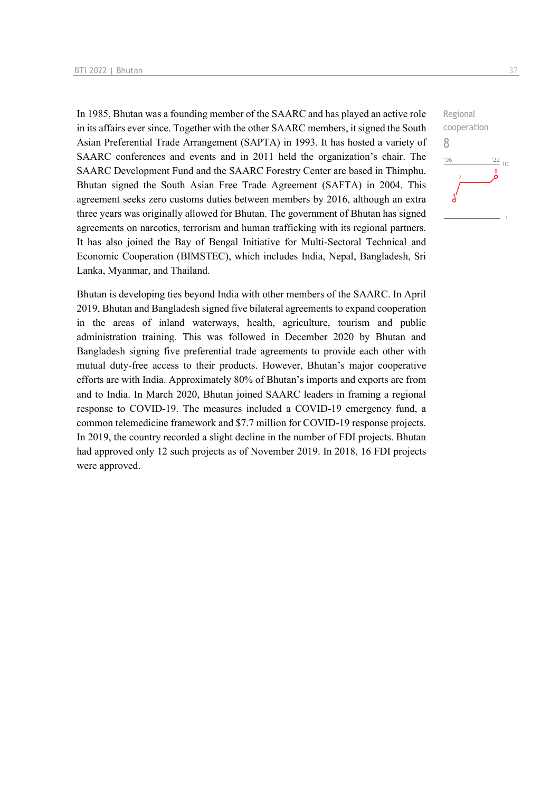In 1985, Bhutan was a founding member of the SAARC and has played an active role in its affairs ever since. Together with the other SAARC members, it signed the South Asian Preferential Trade Arrangement (SAPTA) in 1993. It has hosted a variety of SAARC conferences and events and in 2011 held the organization's chair. The SAARC Development Fund and the SAARC Forestry Center are based in Thimphu. Bhutan signed the South Asian Free Trade Agreement (SAFTA) in 2004. This agreement seeks zero customs duties between members by 2016, although an extra three years was originally allowed for Bhutan. The government of Bhutan has signed agreements on narcotics, terrorism and human trafficking with its regional partners. It has also joined the Bay of Bengal Initiative for Multi-Sectoral Technical and Economic Cooperation (BIMSTEC), which includes India, Nepal, Bangladesh, Sri Lanka, Myanmar, and Thailand.

Bhutan is developing ties beyond India with other members of the SAARC. In April 2019, Bhutan and Bangladesh signed five bilateral agreements to expand cooperation in the areas of inland waterways, health, agriculture, tourism and public administration training. This was followed in December 2020 by Bhutan and Bangladesh signing five preferential trade agreements to provide each other with mutual duty-free access to their products. However, Bhutan's major cooperative efforts are with India. Approximately 80% of Bhutan's imports and exports are from and to India. In March 2020, Bhutan joined SAARC leaders in framing a regional response to COVID-19. The measures included a COVID-19 emergency fund, a common telemedicine framework and \$7.7 million for COVID-19 response projects. In 2019, the country recorded a slight decline in the number of FDI projects. Bhutan had approved only 12 such projects as of November 2019. In 2018, 16 FDI projects were approved.